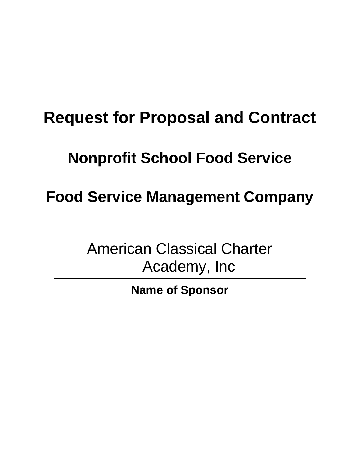# **Request for Proposal and Contract**

# **Nonprofit School Food Service**

**Food Service Management Company**

American Classical Charter Academy, Inc

**Name of Sponsor**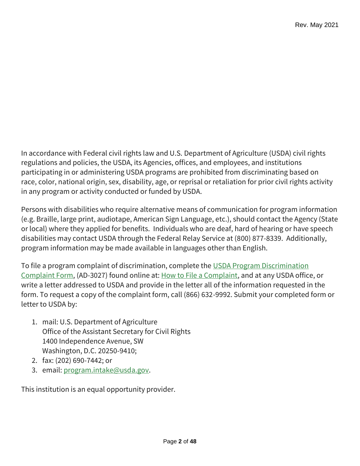In accordance with Federal civil rights law and U.S. Department of Agriculture (USDA) civil rights regulations and policies, the USDA, its Agencies, offices, and employees, and institutions participating in or administering USDA programs are prohibited from discriminating based on race, color, national origin, sex, disability, age, or reprisal or retaliation for prior civil rights activity in any program or activity conducted or funded by USDA.

Persons with disabilities who require alternative means of communication for program information (e.g. Braille, large print, audiotape, American Sign Language, etc.), should contact the Agency (State or local) where they applied for benefits. Individuals who are deaf, hard of hearing or have speech disabilities may contact USDA through the Federal Relay Service at (800) 877-8339. Additionally, program information may be made available in languages other than English.

To file a program complaint of discrimination, complete the [USDA Program Discrimination](https://www.usda.gov/sites/default/files/documents/USDA-OASCR%20P-Complaint-Form-0508-0002-508-11-28-17Fax2Mail.pdf)  [Complaint Form,](https://www.usda.gov/sites/default/files/documents/USDA-OASCR%20P-Complaint-Form-0508-0002-508-11-28-17Fax2Mail.pdf) (AD-3027) found online at: [How to File a Complaint,](https://www.usda.gov/oascr/how-to-file-a-program-discrimination-complaint) and at any USDA office, or write a letter addressed to USDA and provide in the letter all of the information requested in the form. To request a copy of the complaint form, call (866) 632-9992. Submit your completed form or letter to USDA by:

- 1. mail: U.S. Department of Agriculture Office of the Assistant Secretary for Civil Rights 1400 Independence Avenue, SW Washington, D.C. 20250-9410;
- 2. fax: (202) 690-7442; or
- 3. email: [program.intake@usda.gov.](mailto:program.intake@usda.gov)

This institution is an equal opportunity provider.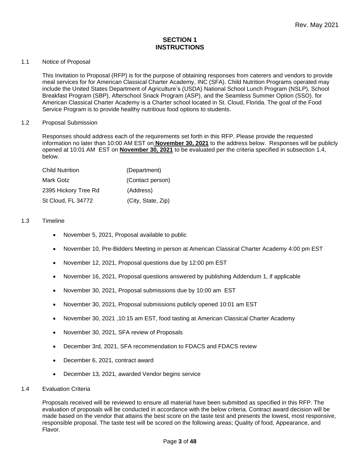#### **SECTION 1 INSTRUCTIONS**

#### 1.1 Notice of Proposal

This Invitation to Proposal (RFP) is for the purpose of obtaining responses from caterers and vendors to provide meal services for for American Classical Charter Academy, INC (SFA). Child Nutrition Programs operated may include the United States Department of Agriculture's (USDA) National School Lunch Program (NSLP), School Breakfast Program (SBP), Afterschool Snack Program (ASP), and the Seamless Summer Option (SSO). for American Classical Charter Academy is a Charter school located in St. Cloud, Florida. The goal of the Food Service Program is to provide healthy nutritious food options to students.

#### 1.2 Proposal Submission

Responses should address each of the requirements set forth in this RFP. Please provide the requested information no later than 10:00 AM EST on **November 30, 2021** to the address below. Responses will be publicly opened at 10:01 AM EST on **November 30, 2021** to be evaluated per the criteria specified in subsection 1.4, below.

| Child Nutrition      | (Department)       |
|----------------------|--------------------|
| Mark Gotz            | (Contact person)   |
| 2395 Hickory Tree Rd | (Address)          |
| St Cloud, FL 34772   | (City, State, Zip) |

#### 1.3 Timeline

- November 5, 2021, Proposal available to public
- November 10, Pre-Bidders Meeting in person at American Classical Charter Academy 4:00 pm EST
- November 12, 2021, Proposal questions due by 12:00 pm EST
- November 16, 2021, Proposal questions answered by publishing Addendum 1, if applicable
- November 30, 2021, Proposal submissions due by 10:00 am EST
- November 30, 2021, Proposal submissions publicly opened 10:01 am EST
- November 30, 2021 ,10:15 am EST, food tasting at American Classical Charter Academy
- November 30, 2021, SFA review of Proposals
- December 3rd, 2021, SFA recommendation to FDACS and FDACS review
- December 6, 2021, contract award
- December 13, 2021, awarded Vendor begins service
- 1.4 Evaluation Criteria

Proposals received will be reviewed to ensure all material have been submitted as specified in this RFP. The evaluation of proposals will be conducted in accordance with the below criteria. Contract award decision will be made based on the vendor that attains the best score on the taste test and presents the lowest, most responsive, responsible proposal. The taste test will be scored on the following areas; Quality of food, Appearance, and Flavor.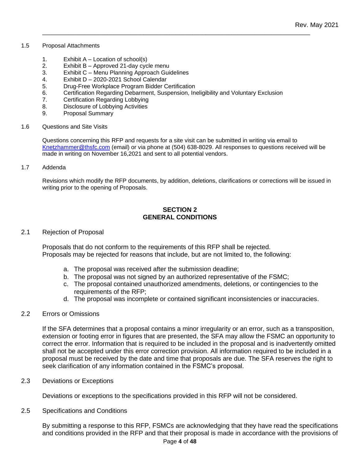#### 1.5 Proposal Attachments

- 1. Exhibit  $A -$  Location of school(s)
- 2. Exhibit B Approved 21-day cycle menu
- 3. Exhibit C Menu Planning Approach Guidelines
- 4. Exhibit D 2020-2021 School Calendar
- 5. Drug-Free Workplace Program Bidder Certification
- 6. Certification Regarding Debarment, Suspension, Ineligibility and Voluntary Exclusion

\_\_\_\_\_\_\_\_\_\_\_\_\_\_\_\_\_\_\_\_\_\_\_\_\_\_\_\_\_\_\_\_\_\_\_\_\_\_\_\_\_\_\_\_\_\_\_\_\_\_\_\_\_\_\_\_\_\_\_\_\_\_\_\_\_\_\_\_\_\_\_\_\_\_\_\_\_\_\_\_\_\_

- 7. Certification Regarding Lobbying
- 8. Disclosure of Lobbying Activities
- 9. Proposal Summary
- 1.6 Questions and Site Visits

Questions concerning this RFP and requests for a site visit can be submitted in writing via email to [Knetzhammer@thsfc.com](mailto:Knetzhammer@thsfc.com) (email) or via phone at (504) 638-8029. All responses to questions received will be made in writing on November 16,2021 and sent to all potential vendors.

1.7 Addenda

Revisions which modify the RFP documents, by addition, deletions, clarifications or corrections will be issued in writing prior to the opening of Proposals.

#### **SECTION 2 GENERAL CONDITIONS**

#### 2.1 Rejection of Proposal

Proposals that do not conform to the requirements of this RFP shall be rejected. Proposals may be rejected for reasons that include, but are not limited to, the following:

- a. The proposal was received after the submission deadline;
- b. The proposal was not signed by an authorized representative of the FSMC;
- c. The proposal contained unauthorized amendments, deletions, or contingencies to the requirements of the RFP;
- d. The proposal was incomplete or contained significant inconsistencies or inaccuracies.

#### 2.2 Errors or Omissions

If the SFA determines that a proposal contains a minor irregularity or an error, such as a transposition, extension or footing error in figures that are presented, the SFA may allow the FSMC an opportunity to correct the error. Information that is required to be included in the proposal and is inadvertently omitted shall not be accepted under this error correction provision. All information required to be included in a proposal must be received by the date and time that proposals are due. The SFA reserves the right to seek clarification of any information contained in the FSMC's proposal.

2.3 Deviations or Exceptions

Deviations or exceptions to the specifications provided in this RFP will not be considered.

2.5 Specifications and Conditions

By submitting a response to this RFP, FSMCs are acknowledging that they have read the specifications and conditions provided in the RFP and that their proposal is made in accordance with the provisions of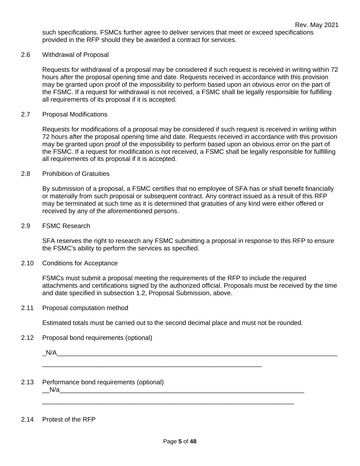such specifications. FSMCs further agree to deliver services that meet or exceed specifications provided in the RFP should they be awarded a contract for services.

#### 2.6 Withdrawal of Proposal

Requests for withdrawal of a proposal may be considered if such request is received in writing within 72 hours after the proposal opening time and date. Requests received in accordance with this provision may be granted upon proof of the impossibility to perform based upon an obvious error on the part of the FSMC. If a request for withdrawal is not received, a FSMC shall be legally responsible for fulfilling all requirements of its proposal if it is accepted.

#### 2.7 Proposal Modifications

Requests for modifications of a proposal may be considered if such request is received in writing within 72 hours after the proposal opening time and date. Requests received in accordance with this provision may be granted upon proof of the impossibility to perform based upon an obvious error on the part of the FSMC. If a request for modification is not received, a FSMC shall be legally responsible for fulfilling all requirements of its proposal if it is accepted.

#### 2.8 Prohibition of Gratuities

By submission of a proposal, a FSMC certifies that no employee of SFA has or shall benefit financially or materially from such proposal or subsequent contract. Any contract issued as a result of this RFP may be terminated at such time as it is determined that gratuities of any kind were either offered or received by any of the aforementioned persons.

#### 2.9 FSMC Research

SFA reserves the right to research any FSMC submitting a proposal in response to this RFP to ensure the FSMC's ability to perform the services as specified.

#### 2.10 Conditions for Acceptance

FSMCs must submit a proposal meeting the requirements of the RFP to include the required attachments and certifications signed by the authorized official. Proposals must be received by the time and date specified in subsection 1.2, Proposal Submission, above.

#### 2.11 Proposal computation method

Estimated totals must be carried out to the second decimal place and must not be rounded.

\_\_\_\_\_\_\_\_\_\_\_\_\_\_\_\_\_\_\_\_\_\_\_\_\_\_\_\_\_\_\_\_\_\_\_\_\_\_\_\_\_\_\_\_\_\_\_\_\_\_\_\_\_\_\_\_\_\_\_\_\_

#### 2.12 Proposal bond requirements (optional)

 $N/A$ 

#### 2.13 Performance bond requirements (optional)  $N/a$

#### 2.14 Protest of the RFP

\_\_\_\_\_\_\_\_\_\_\_\_\_\_\_\_\_\_\_\_\_\_\_\_\_\_\_\_\_\_\_\_\_\_\_\_\_\_\_\_\_\_\_\_\_\_\_\_\_\_\_\_\_\_\_\_\_\_\_\_\_\_\_\_\_\_\_\_\_\_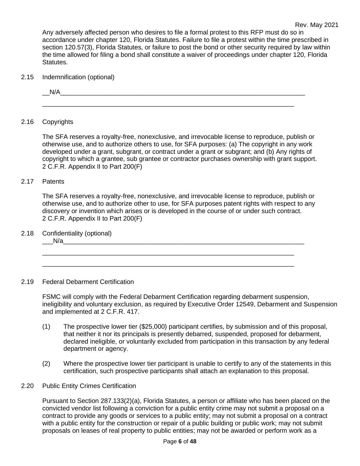Any adversely affected person who desires to file a formal protest to this RFP must do so in accordance under chapter 120, Florida Statutes. Failure to file a protest within the time prescribed in section 120.57(3), Florida Statutes, or failure to post the bond or other security required by law within the time allowed for filing a bond shall constitute a waiver of proceedings under chapter 120, Florida Statutes.

2.15 Indemnification (optional)

 $N/A$ 

\_\_\_\_\_\_\_\_\_\_\_\_\_\_\_\_\_\_\_\_\_\_\_\_\_\_\_\_\_\_\_\_\_\_\_\_\_\_\_\_\_\_\_\_\_\_\_\_\_\_\_\_\_\_\_\_\_\_\_\_\_\_\_\_\_\_\_\_\_\_

#### 2.16 Copyrights

The SFA reserves a royalty-free, nonexclusive, and irrevocable license to reproduce, publish or otherwise use, and to authorize others to use, for SFA purposes: (a) The copyright in any work developed under a grant, subgrant, or contract under a grant or subgrant; and (b) Any rights of copyright to which a grantee, sub grantee or contractor purchases ownership with grant support. 2 C.F.R. Appendix II to Part 200(F)

#### 2.17 Patents

The SFA reserves a royalty-free, nonexclusive, and irrevocable license to reproduce, publish or otherwise use, and to authorize other to use, for SFA purposes patent rights with respect to any discovery or invention which arises or is developed in the course of or under such contract. 2 C.F.R. Appendix II to Part 200(F)

\_\_\_\_\_\_\_\_\_\_\_\_\_\_\_\_\_\_\_\_\_\_\_\_\_\_\_\_\_\_\_\_\_\_\_\_\_\_\_\_\_\_\_\_\_\_\_\_\_\_\_\_\_\_\_\_\_\_\_\_\_\_\_\_\_\_\_\_\_\_ \_\_\_\_\_\_\_\_\_\_\_\_\_\_\_\_\_\_\_\_\_\_\_\_\_\_\_\_\_\_\_\_\_\_\_\_\_\_\_\_\_\_\_\_\_\_\_\_\_\_\_\_\_\_\_\_\_\_\_\_\_\_\_\_\_\_\_\_\_\_

2.18 Confidentiality (optional)

 $N/a$ 

#### 2.19 Federal Debarment Certification

FSMC will comply with the Federal Debarment Certification regarding debarment suspension, ineligibility and voluntary exclusion, as required by Executive Order 12549, Debarment and Suspension and implemented at 2 C.F.R. 417.

- (1) The prospective lower tier (\$25,000) participant certifies, by submission and of this proposal, that neither it nor its principals is presently debarred, suspended, proposed for debarment, declared ineligible, or voluntarily excluded from participation in this transaction by any federal department or agency.
- (2) Where the prospective lower tier participant is unable to certify to any of the statements in this certification, such prospective participants shall attach an explanation to this proposal.
- 2.20 Public Entity Crimes Certification

Pursuant to Section 287.133(2)(a), Florida Statutes, a person or affiliate who has been placed on the convicted vendor list following a conviction for a public entity crime may not submit a proposal on a contract to provide any goods or services to a public entity; may not submit a proposal on a contract with a public entity for the construction or repair of a public building or public work; may not submit proposals on leases of real property to public entities; may not be awarded or perform work as a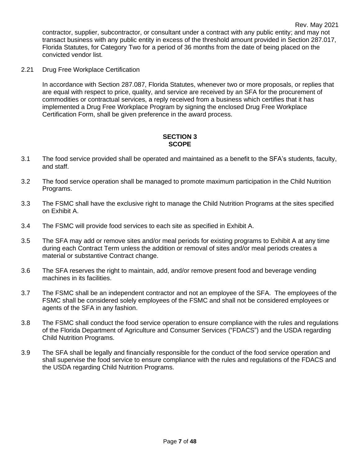2.21 Drug Free Workplace Certification

In accordance with Section 287.087, Florida Statutes, whenever two or more proposals, or replies that are equal with respect to price, quality, and service are received by an SFA for the procurement of commodities or contractual services, a reply received from a business which certifies that it has implemented a Drug Free Workplace Program by signing the enclosed Drug Free Workplace Certification Form, shall be given preference in the award process.

#### **SECTION 3 SCOPE**

- 3.1 The food service provided shall be operated and maintained as a benefit to the SFA's students, faculty, and staff.
- 3.2 The food service operation shall be managed to promote maximum participation in the Child Nutrition Programs.
- 3.3 The FSMC shall have the exclusive right to manage the Child Nutrition Programs at the sites specified on Exhibit A.
- 3.4 The FSMC will provide food services to each site as specified in Exhibit A.
- 3.5 The SFA may add or remove sites and/or meal periods for existing programs to Exhibit A at any time during each Contract Term unless the addition or removal of sites and/or meal periods creates a material or substantive Contract change.
- 3.6 The SFA reserves the right to maintain, add, and/or remove present food and beverage vending machines in its facilities.
- 3.7 The FSMC shall be an independent contractor and not an employee of the SFA. The employees of the FSMC shall be considered solely employees of the FSMC and shall not be considered employees or agents of the SFA in any fashion.
- 3.8 The FSMC shall conduct the food service operation to ensure compliance with the rules and regulations of the Florida Department of Agriculture and Consumer Services ("FDACS") and the USDA regarding Child Nutrition Programs.
- 3.9 The SFA shall be legally and financially responsible for the conduct of the food service operation and shall supervise the food service to ensure compliance with the rules and regulations of the FDACS and the USDA regarding Child Nutrition Programs.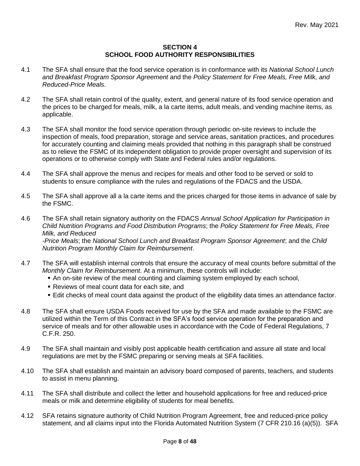#### **SECTION 4 SCHOOL FOOD AUTHORITY RESPONSIBILITIES**

- 4.1 The SFA shall ensure that the food service operation is in conformance with its *National School Lunch and Breakfast Program Sponsor Agreement* and the *Policy Statement for Free Meals, Free Milk, and Reduced-Price Meals*.
- 4.2 The SFA shall retain control of the quality, extent, and general nature of its food service operation and the prices to be charged for meals, milk, a la carte items, adult meals, and vending machine items, as applicable.
- 4.3 The SFA shall monitor the food service operation through periodic on-site reviews to include the inspection of meals, food preparation, storage and service areas, sanitation practices, and procedures for accurately counting and claiming meals provided that nothing in this paragraph shall be construed as to relieve the FSMC of its independent obligation to provide proper oversight and supervision of its operations or to otherwise comply with State and Federal rules and/or regulations.
- 4.4 The SFA shall approve the menus and recipes for meals and other food to be served or sold to students to ensure compliance with the rules and regulations of the FDACS and the USDA.
- 4.5 The SFA shall approve all a la carte items and the prices charged for those items in advance of sale by the FSMC.
- 4.6 The SFA shall retain signatory authority on the FDACS *Annual School Application for Participation in Child Nutrition Programs and Food Distribution Programs*; the *Policy Statement for Free Meals, Free Milk, and Reduced -Price Meals*; the *National School Lunch and Breakfast Program Sponsor Agreement*; and the *Child Nutrition Program Monthly Claim for Reimbursement*.
- 4.7 The SFA will establish internal controls that ensure the accuracy of meal counts before submittal of the *Monthly Claim for Reimbursement*. At a minimum, these controls will include:
	- An on-site review of the meal counting and claiming system employed by each school,
	- **Reviews of meal count data for each site, and**
	- **Edit checks of meal count data against the product of the eligibility data times an attendance factor.**
- 4.8 The SFA shall ensure USDA Foods received for use by the SFA and made available to the FSMC are utilized within the Term of this Contract in the SFA's food service operation for the preparation and service of meals and for other allowable uses in accordance with the Code of Federal Regulations, 7 C.F.R. 250.
- 4.9 The SFA shall maintain and visibly post applicable health certification and assure all state and local regulations are met by the FSMC preparing or serving meals at SFA facilities.
- 4.10 The SFA shall establish and maintain an advisory board composed of parents, teachers, and students to assist in menu planning.
- 4.11 The SFA shall distribute and collect the letter and household applications for free and reduced-price meals or milk and determine eligibility of students for meal benefits.
- 4.12 SFA retains signature authority of Child Nutrition Program Agreement, free and reduced-price policy statement, and all claims input into the Florida Automated Nutrition System (7 CFR 210.16 (a)(5)). SFA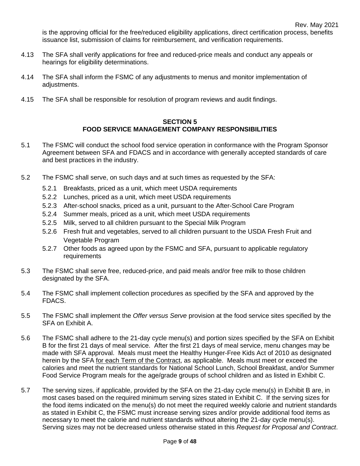is the approving official for the free/reduced eligibility applications, direct certification process, benefits issuance list, submission of claims for reimbursement, and verification requirements.

- 4.13 The SFA shall verify applications for free and reduced-price meals and conduct any appeals or hearings for eligibility determinations.
- 4.14 The SFA shall inform the FSMC of any adjustments to menus and monitor implementation of adjustments.
- 4.15 The SFA shall be responsible for resolution of program reviews and audit findings.

#### **SECTION 5 FOOD SERVICE MANAGEMENT COMPANY RESPONSIBILITIES**

- 5.1 The FSMC will conduct the school food service operation in conformance with the Program Sponsor Agreement between SFA and FDACS and in accordance with generally accepted standards of care and best practices in the industry.
- 5.2 The FSMC shall serve, on such days and at such times as requested by the SFA:
	- 5.2.1 Breakfasts, priced as a unit, which meet USDA requirements
	- 5.2.2 Lunches, priced as a unit, which meet USDA requirements
	- 5.2.3 After-school snacks, priced as a unit, pursuant to the After-School Care Program
	- 5.2.4 Summer meals, priced as a unit, which meet USDA requirements
	- 5.2.5 Milk, served to all children pursuant to the Special Milk Program
	- 5.2.6 Fresh fruit and vegetables, served to all children pursuant to the USDA Fresh Fruit and Vegetable Program
	- 5.2.7 Other foods as agreed upon by the FSMC and SFA, pursuant to applicable regulatory requirements
- 5.3 The FSMC shall serve free, reduced-price, and paid meals and/or free milk to those children designated by the SFA.
- 5.4 The FSMC shall implement collection procedures as specified by the SFA and approved by the FDACS.
- 5.5 The FSMC shall implement the *Offer versus Serve* provision at the food service sites specified by the SFA on Exhibit A.
- 5.6 The FSMC shall adhere to the 21-day cycle menu(s) and portion sizes specified by the SFA on Exhibit B for the first 21 days of meal service. After the first 21 days of meal service, menu changes may be made with SFA approval. Meals must meet the Healthy Hunger-Free Kids Act of 2010 as designated herein by the SFA for each Term of the Contract, as applicable. Meals must meet or exceed the calories and meet the nutrient standards for National School Lunch, School Breakfast, and/or Summer Food Service Program meals for the age/grade groups of school children and as listed in Exhibit C.
- 5.7 The serving sizes, if applicable, provided by the SFA on the 21-day cycle menu(s) in Exhibit B are, in most cases based on the required minimum serving sizes stated in Exhibit C. If the serving sizes for the food items indicated on the menu(s) do not meet the required weekly calorie and nutrient standards as stated in Exhibit C, the FSMC must increase serving sizes and/or provide additional food items as necessary to meet the calorie and nutrient standards without altering the 21-day cycle menu(s). Serving sizes may not be decreased unless otherwise stated in this *Request for Proposal and Contract*.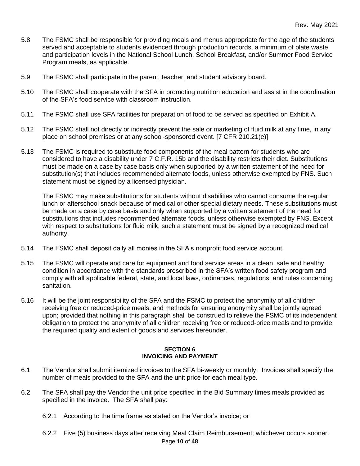- 5.8 The FSMC shall be responsible for providing meals and menus appropriate for the age of the students served and acceptable to students evidenced through production records, a minimum of plate waste and participation levels in the National School Lunch, School Breakfast, and/or Summer Food Service Program meals, as applicable.
- 5.9 The FSMC shall participate in the parent, teacher, and student advisory board.
- 5.10 The FSMC shall cooperate with the SFA in promoting nutrition education and assist in the coordination of the SFA's food service with classroom instruction.
- 5.11 The FSMC shall use SFA facilities for preparation of food to be served as specified on Exhibit A.
- 5.12 The FSMC shall not directly or indirectly prevent the sale or marketing of fluid milk at any time, in any place on school premises or at any school-sponsored event. [7 CFR 210.21(e)]
- 5.13 The FSMC is required to substitute food components of the meal pattern for students who are considered to have a disability under 7 C.F.R. 15b and the disability restricts their diet. Substitutions must be made on a case by case basis only when supported by a written statement of the need for substitution(s) that includes recommended alternate foods, unless otherwise exempted by FNS. Such statement must be signed by a licensed physician.

The FSMC may make substitutions for students without disabilities who cannot consume the regular lunch or afterschool snack because of medical or other special dietary needs. These substitutions must be made on a case by case basis and only when supported by a written statement of the need for substitutions that includes recommended alternate foods, unless otherwise exempted by FNS. Except with respect to substitutions for fluid milk, such a statement must be signed by a recognized medical authority.

- 5.14 The FSMC shall deposit daily all monies in the SFA's nonprofit food service account.
- 5.15 The FSMC will operate and care for equipment and food service areas in a clean, safe and healthy condition in accordance with the standards prescribed in the SFA's written food safety program and comply with all applicable federal, state, and local laws, ordinances, regulations, and rules concerning sanitation.
- 5.16 It will be the joint responsibility of the SFA and the FSMC to protect the anonymity of all children receiving free or reduced-price meals, and methods for ensuring anonymity shall be jointly agreed upon; provided that nothing in this paragraph shall be construed to relieve the FSMC of its independent obligation to protect the anonymity of all children receiving free or reduced-price meals and to provide the required quality and extent of goods and services hereunder.

#### **SECTION 6 INVOICING AND PAYMENT**

- 6.1 The Vendor shall submit itemized invoices to the SFA bi-weekly or monthly. Invoices shall specify the number of meals provided to the SFA and the unit price for each meal type.
- 6.2 The SFA shall pay the Vendor the unit price specified in the Bid Summary times meals provided as specified in the invoice. The SFA shall pay:
	- 6.2.1 According to the time frame as stated on the Vendor's invoice; or
	- Page **10** of **48** 6.2.2 Five (5) business days after receiving Meal Claim Reimbursement; whichever occurs sooner.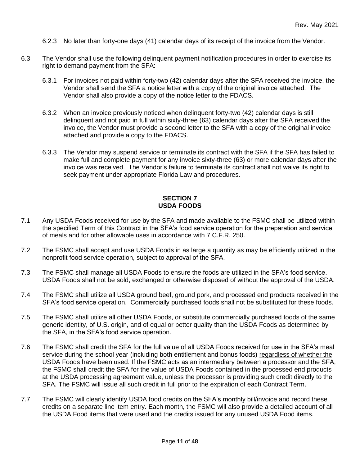- 6.2.3 No later than forty-one days (41) calendar days of its receipt of the invoice from the Vendor.
- 6.3 The Vendor shall use the following delinquent payment notification procedures in order to exercise its right to demand payment from the SFA:
	- 6.3.1 For invoices not paid within forty-two (42) calendar days after the SFA received the invoice, the Vendor shall send the SFA a notice letter with a copy of the original invoice attached. The Vendor shall also provide a copy of the notice letter to the FDACS.
	- 6.3.2 When an invoice previously noticed when delinquent forty-two (42) calendar days is still delinquent and not paid in full within sixty-three (63) calendar days after the SFA received the invoice, the Vendor must provide a second letter to the SFA with a copy of the original invoice attached and provide a copy to the FDACS.
	- 6.3.3 The Vendor may suspend service or terminate its contract with the SFA if the SFA has failed to make full and complete payment for any invoice sixty-three (63) or more calendar days after the invoice was received. The Vendor's failure to terminate its contract shall not waive its right to seek payment under appropriate Florida Law and procedures.

#### **SECTION 7 USDA FOODS**

- 7.1 Any USDA Foods received for use by the SFA and made available to the FSMC shall be utilized within the specified Term of this Contract in the SFA's food service operation for the preparation and service of meals and for other allowable uses in accordance with 7 C.F.R. 250.
- 7.2 The FSMC shall accept and use USDA Foods in as large a quantity as may be efficiently utilized in the nonprofit food service operation, subject to approval of the SFA.
- 7.3 The FSMC shall manage all USDA Foods to ensure the foods are utilized in the SFA's food service. USDA Foods shall not be sold, exchanged or otherwise disposed of without the approval of the USDA.
- 7.4 The FSMC shall utilize all USDA ground beef, ground pork, and processed end products received in the SFA's food service operation. Commercially purchased foods shall not be substituted for these foods.
- 7.5 The FSMC shall utilize all other USDA Foods, or substitute commercially purchased foods of the same generic identity, of U.S. origin, and of equal or better quality than the USDA Foods as determined by the SFA, in the SFA's food service operation.
- 7.6 The FSMC shall credit the SFA for the full value of all USDA Foods received for use in the SFA's meal service during the school year (including both entitlement and bonus foods) regardless of whether the USDA Foods have been used. If the FSMC acts as an intermediary between a processor and the SFA, the FSMC shall credit the SFA for the value of USDA Foods contained in the processed end products at the USDA processing agreement value, unless the processor is providing such credit directly to the SFA. The FSMC will issue all such credit in full prior to the expiration of each Contract Term.
- 7.7 The FSMC will clearly identify USDA food credits on the SFA's monthly bill/invoice and record these credits on a separate line item entry. Each month, the FSMC will also provide a detailed account of all the USDA Food items that were used and the credits issued for any unused USDA Food items.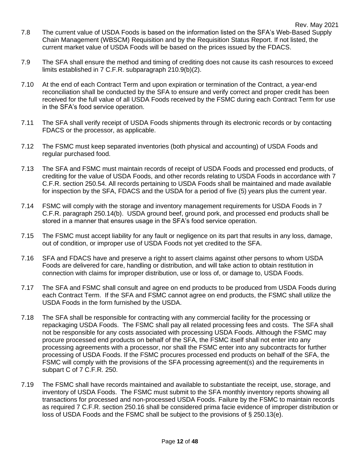- 7.8 The current value of USDA Foods is based on the information listed on the SFA's Web-Based Supply Chain Management (WBSCM) Requisition and by the Requisition Status Report. If not listed, the current market value of USDA Foods will be based on the prices issued by the FDACS.
- 7.9 The SFA shall ensure the method and timing of crediting does not cause its cash resources to exceed limits established in 7 C.F.R. subparagraph 210.9(b)(2).
- 7.10 At the end of each Contract Term and upon expiration or termination of the Contract, a year-end reconciliation shall be conducted by the SFA to ensure and verify correct and proper credit has been received for the full value of all USDA Foods received by the FSMC during each Contract Term for use in the SFA's food service operation.
- 7.11 The SFA shall verify receipt of USDA Foods shipments through its electronic records or by contacting FDACS or the processor, as applicable.
- 7.12 The FSMC must keep separated inventories (both physical and accounting) of USDA Foods and regular purchased food.
- 7.13 The SFA and FSMC must maintain records of receipt of USDA Foods and processed end products, of crediting for the value of USDA Foods, and other records relating to USDA Foods in accordance with 7 C.F.R. section 250.54. All records pertaining to USDA Foods shall be maintained and made available for inspection by the SFA, FDACS and the USDA for a period of five (5) years plus the current year.
- 7.14 FSMC will comply with the storage and inventory management requirements for USDA Foods in 7 C.F.R. paragraph 250.14(b). USDA ground beef, ground pork, and processed end products shall be stored in a manner that ensures usage in the SFA's food service operation.
- 7.15 The FSMC must accept liability for any fault or negligence on its part that results in any loss, damage, out of condition, or improper use of USDA Foods not yet credited to the SFA.
- 7.16 SFA and FDACS have and preserve a right to assert claims against other persons to whom USDA Foods are delivered for care, handling or distribution, and will take action to obtain restitution in connection with claims for improper distribution, use or loss of, or damage to, USDA Foods.
- 7.17 The SFA and FSMC shall consult and agree on end products to be produced from USDA Foods during each Contract Term. If the SFA and FSMC cannot agree on end products, the FSMC shall utilize the USDA Foods in the form furnished by the USDA.
- 7.18 The SFA shall be responsible for contracting with any commercial facility for the processing or repackaging USDA Foods. The FSMC shall pay all related processing fees and costs. The SFA shall not be responsible for any costs associated with processing USDA Foods. Although the FSMC may procure processed end products on behalf of the SFA, the FSMC itself shall not enter into any processing agreements with a processor, nor shall the FSMC enter into any subcontracts for further processing of USDA Foods. If the FSMC procures processed end products on behalf of the SFA, the FSMC will comply with the provisions of the SFA processing agreement(s) and the requirements in subpart C of 7 C.F.R. 250.
- 7.19 The FSMC shall have records maintained and available to substantiate the receipt, use, storage, and inventory of USDA Foods. The FSMC must submit to the SFA monthly inventory reports showing all transactions for processed and non-processed USDA Foods. Failure by the FSMC to maintain records as required 7 C.F.R. section 250.16 shall be considered prima facie evidence of improper distribution or loss of USDA Foods and the FSMC shall be subject to the provisions of § 250.13(e).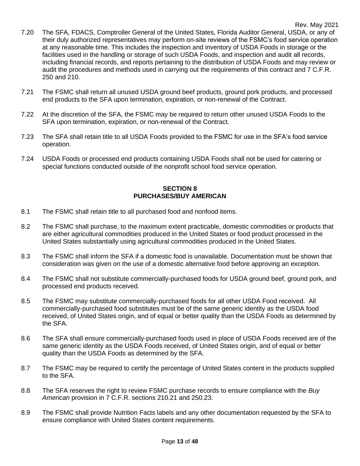- 7.20 The SFA, FDACS, Comptroller General of the United States, Florida Auditor General, USDA, or any of their duly authorized representatives may perform on-site reviews of the FSMC's food service operation at any reasonable time. This includes the inspection and inventory of USDA Foods in storage or the facilities used in the handling or storage of such USDA Foods, and inspection and audit all records, including financial records, and reports pertaining to the distribution of USDA Foods and may review or audit the procedures and methods used in carrying out the requirements of this contract and 7 C.F.R. 250 and 210.
- 7.21 The FSMC shall return all unused USDA ground beef products, ground pork products, and processed end products to the SFA upon termination, expiration, or non-renewal of the Contract.
- 7.22 At the discretion of the SFA, the FSMC may be required to return other unused USDA Foods to the SFA upon termination, expiration, or non-renewal of the Contract.
- 7.23 The SFA shall retain title to all USDA Foods provided to the FSMC for use in the SFA's food service operation.
- 7.24 USDA Foods or processed end products containing USDA Foods shall not be used for catering or special functions conducted outside of the nonprofit school food service operation.

#### **SECTION 8 PURCHASES/BUY AMERICAN**

- 8.1 The FSMC shall retain title to all purchased food and nonfood items.
- 8.2 The FSMC shall purchase, to the maximum extent practicable, domestic commodities or products that are either agricultural commodities produced in the United States or food product processed in the United States substantially using agricultural commodities produced in the United States.
- 8.3 The FSMC shall inform the SFA if a domestic food is unavailable. Documentation must be shown that consideration was given on the use of a domestic alternative food before approving an exception.
- 8.4 The FSMC shall not substitute commercially-purchased foods for USDA ground beef, ground pork, and processed end products received.
- 8.5 The FSMC may substitute commercially-purchased foods for all other USDA Food received. All commercially-purchased food substitutes must be of the same generic identity as the USDA food received, of United States origin, and of equal or better quality than the USDA Foods as determined by the SFA.
- 8.6 The SFA shall ensure commercially-purchased foods used in place of USDA Foods received are of the same generic identity as the USDA Foods received, of United States origin, and of equal or better quality than the USDA Foods as determined by the SFA.
- 8.7 The FSMC may be required to certify the percentage of United States content in the products supplied to the SFA.
- 8.8 The SFA reserves the right to review FSMC purchase records to ensure compliance with the *Buy American* provision in 7 C.F.R. sections 210.21 and 250.23.
- 8.9 The FSMC shall provide Nutrition Facts labels and any other documentation requested by the SFA to ensure compliance with United States content requirements.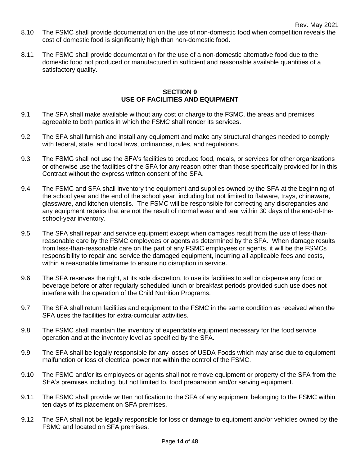- 8.10 The FSMC shall provide documentation on the use of non-domestic food when competition reveals the cost of domestic food is significantly high than non-domestic food.
- 8.11 The FSMC shall provide documentation for the use of a non-domestic alternative food due to the domestic food not produced or manufactured in sufficient and reasonable available quantities of a satisfactory quality.

#### **SECTION 9 USE OF FACILITIES AND EQUIPMENT**

- 9.1 The SFA shall make available without any cost or charge to the FSMC, the areas and premises agreeable to both parties in which the FSMC shall render its services.
- 9.2 The SFA shall furnish and install any equipment and make any structural changes needed to comply with federal, state, and local laws, ordinances, rules, and regulations.
- 9.3 The FSMC shall not use the SFA's facilities to produce food, meals, or services for other organizations or otherwise use the facilities of the SFA for any reason other than those specifically provided for in this Contract without the express written consent of the SFA.
- 9.4 The FSMC and SFA shall inventory the equipment and supplies owned by the SFA at the beginning of the school year and the end of the school year, including but not limited to flatware, trays, chinaware, glassware, and kitchen utensils. The FSMC will be responsible for correcting any discrepancies and any equipment repairs that are not the result of normal wear and tear within 30 days of the end-of-theschool-year inventory.
- 9.5 The SFA shall repair and service equipment except when damages result from the use of less-thanreasonable care by the FSMC employees or agents as determined by the SFA. When damage results from less-than-reasonable care on the part of any FSMC employees or agents, it will be the FSMCs responsibility to repair and service the damaged equipment, incurring all applicable fees and costs, within a reasonable timeframe to ensure no disruption in service.
- 9.6 The SFA reserves the right, at its sole discretion, to use its facilities to sell or dispense any food or beverage before or after regularly scheduled lunch or breakfast periods provided such use does not interfere with the operation of the Child Nutrition Programs.
- 9.7 The SFA shall return facilities and equipment to the FSMC in the same condition as received when the SFA uses the facilities for extra-curricular activities.
- 9.8 The FSMC shall maintain the inventory of expendable equipment necessary for the food service operation and at the inventory level as specified by the SFA.
- 9.9 The SFA shall be legally responsible for any losses of USDA Foods which may arise due to equipment malfunction or loss of electrical power not within the control of the FSMC.
- 9.10 The FSMC and/or its employees or agents shall not remove equipment or property of the SFA from the SFA's premises including, but not limited to, food preparation and/or serving equipment.
- 9.11 The FSMC shall provide written notification to the SFA of any equipment belonging to the FSMC within ten days of its placement on SFA premises.
- 9.12 The SFA shall not be legally responsible for loss or damage to equipment and/or vehicles owned by the FSMC and located on SFA premises.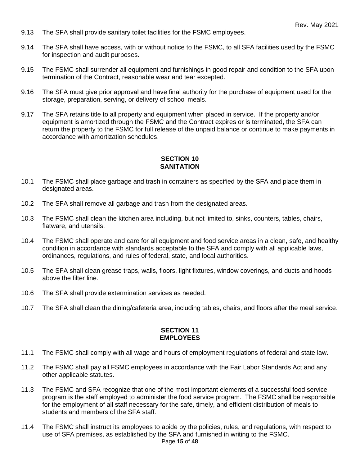- 9.13 The SFA shall provide sanitary toilet facilities for the FSMC employees.
- 9.14 The SFA shall have access, with or without notice to the FSMC, to all SFA facilities used by the FSMC for inspection and audit purposes.
- 9.15 The FSMC shall surrender all equipment and furnishings in good repair and condition to the SFA upon termination of the Contract, reasonable wear and tear excepted.
- 9.16 The SFA must give prior approval and have final authority for the purchase of equipment used for the storage, preparation, serving, or delivery of school meals.
- 9.17 The SFA retains title to all property and equipment when placed in service. If the property and/or equipment is amortized through the FSMC and the Contract expires or is terminated, the SFA can return the property to the FSMC for full release of the unpaid balance or continue to make payments in accordance with amortization schedules.

#### **SECTION 10 SANITATION**

- 10.1 The FSMC shall place garbage and trash in containers as specified by the SFA and place them in designated areas.
- 10.2 The SFA shall remove all garbage and trash from the designated areas.
- 10.3 The FSMC shall clean the kitchen area including, but not limited to, sinks, counters, tables, chairs, flatware, and utensils.
- 10.4 The FSMC shall operate and care for all equipment and food service areas in a clean, safe, and healthy condition in accordance with standards acceptable to the SFA and comply with all applicable laws, ordinances, regulations, and rules of federal, state, and local authorities.
- 10.5 The SFA shall clean grease traps, walls, floors, light fixtures, window coverings, and ducts and hoods above the filter line.
- 10.6 The SFA shall provide extermination services as needed.
- 10.7 The SFA shall clean the dining/cafeteria area, including tables, chairs, and floors after the meal service.

#### **SECTION 11 EMPLOYEES**

- 11.1 The FSMC shall comply with all wage and hours of employment regulations of federal and state law.
- 11.2 The FSMC shall pay all FSMC employees in accordance with the Fair Labor Standards Act and any other applicable statutes.
- 11.3 The FSMC and SFA recognize that one of the most important elements of a successful food service program is the staff employed to administer the food service program. The FSMC shall be responsible for the employment of all staff necessary for the safe, timely, and efficient distribution of meals to students and members of the SFA staff.
- 11.4 The FSMC shall instruct its employees to abide by the policies, rules, and regulations, with respect to use of SFA premises, as established by the SFA and furnished in writing to the FSMC.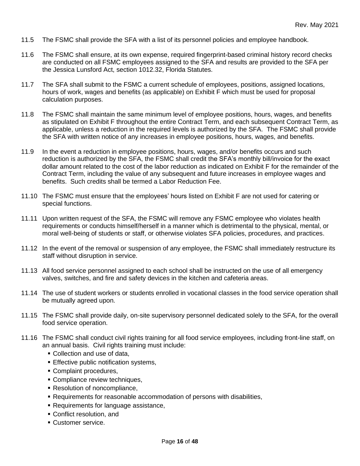- 11.5 The FSMC shall provide the SFA with a list of its personnel policies and employee handbook.
- 11.6 The FSMC shall ensure, at its own expense, required fingerprint-based criminal history record checks are conducted on all FSMC employees assigned to the SFA and results are provided to the SFA per the Jessica Lunsford Act, section 1012.32, Florida Statutes.
- 11.7 The SFA shall submit to the FSMC a current schedule of employees, positions, assigned locations, hours of work, wages and benefits (as applicable) on Exhibit F which must be used for proposal calculation purposes.
- 11.8 The FSMC shall maintain the same minimum level of employee positions, hours, wages, and benefits as stipulated on Exhibit F throughout the entire Contract Term, and each subsequent Contract Term, as applicable, unless a reduction in the required levels is authorized by the SFA. The FSMC shall provide the SFA with written notice of any increases in employee positions, hours, wages, and benefits.
- 11.9 In the event a reduction in employee positions, hours, wages, and/or benefits occurs and such reduction is authorized by the SFA, the FSMC shall credit the SFA's monthly bill/invoice for the exact dollar amount related to the cost of the labor reduction as indicated on Exhibit F for the remainder of the Contract Term, including the value of any subsequent and future increases in employee wages and benefits. Such credits shall be termed a Labor Reduction Fee.
- 11.10 The FSMC must ensure that the employees' hours listed on Exhibit F are not used for catering or special functions.
- 11.11 Upon written request of the SFA, the FSMC will remove any FSMC employee who violates health requirements or conducts himself/herself in a manner which is detrimental to the physical, mental, or moral well-being of students or staff, or otherwise violates SFA policies, procedures, and practices.
- 11.12 In the event of the removal or suspension of any employee, the FSMC shall immediately restructure its staff without disruption in service.
- 11.13 All food service personnel assigned to each school shall be instructed on the use of all emergency valves, switches, and fire and safety devices in the kitchen and cafeteria areas.
- 11.14 The use of student workers or students enrolled in vocational classes in the food service operation shall be mutually agreed upon.
- 11.15 The FSMC shall provide daily, on-site supervisory personnel dedicated solely to the SFA, for the overall food service operation.
- 11.16 The FSMC shall conduct civil rights training for all food service employees, including front-line staff, on an annual basis. Civil rights training must include:
	- Collection and use of data,
	- **Effective public notification systems,**
	- Complaint procedures,
	- **Compliance review techniques,**
	- **Resolution of noncompliance,**
	- Requirements for reasonable accommodation of persons with disabilities,
	- **Requirements for language assistance,**
	- Conflict resolution, and
	- Customer service.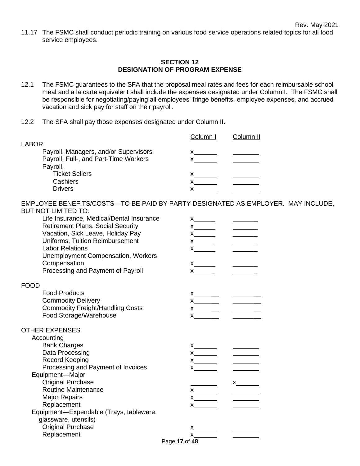11.17 The FSMC shall conduct periodic training on various food service operations related topics for all food service employees.

#### **SECTION 12 DESIGNATION OF PROGRAM EXPENSE**

- 12.1 The FSMC guarantees to the SFA that the proposal meal rates and fees for each reimbursable school meal and a la carte equivalent shall include the expenses designated under Column I. The FSMC shall be responsible for negotiating/paying all employees' fringe benefits, employee expenses, and accrued vacation and sick pay for staff on their payroll.
- 12.2 The SFA shall pay those expenses designated under Column II.

| <b>LABOR</b>                          | Column I | Column II |
|---------------------------------------|----------|-----------|
| Payroll, Managers, and/or Supervisors |          |           |
|                                       |          |           |
| Payroll, Full-, and Part-Time Workers |          |           |
| Payroll,                              |          |           |
| <b>Ticket Sellers</b>                 |          |           |
| Cashiers                              |          |           |
| <b>Drivers</b>                        |          |           |
|                                       |          |           |

EMPLOYEE BENEFITS/COSTS—TO BE PAID BY PARTY DESIGNATED AS EMPLOYER. MAY INCLUDE, BUT NOT LIMITED TO:

| Life Insurance, Medical/Dental Insurance<br><b>Retirement Plans, Social Security</b><br>Vacation, Sick Leave, Holiday Pay<br>Uniforms, Tuition Reimbursement<br><b>Labor Relations</b><br><b>Unemployment Compensation, Workers</b><br>Compensation<br>Processing and Payment of Payroll | $x$ and $\overline{a}$                          |                                                                                                                                                                                                                                                                                                                                                                                                                                                          |
|------------------------------------------------------------------------------------------------------------------------------------------------------------------------------------------------------------------------------------------------------------------------------------------|-------------------------------------------------|----------------------------------------------------------------------------------------------------------------------------------------------------------------------------------------------------------------------------------------------------------------------------------------------------------------------------------------------------------------------------------------------------------------------------------------------------------|
| <b>FOOD</b>                                                                                                                                                                                                                                                                              |                                                 |                                                                                                                                                                                                                                                                                                                                                                                                                                                          |
| <b>Food Products</b><br><b>Commodity Delivery</b><br><b>Commodity Freight/Handling Costs</b><br>Food Storage/Warehouse                                                                                                                                                                   | $x \xrightarrow{X}$ $\qquad \qquad$<br>$x \sim$ |                                                                                                                                                                                                                                                                                                                                                                                                                                                          |
| <b>OTHER EXPENSES</b>                                                                                                                                                                                                                                                                    |                                                 |                                                                                                                                                                                                                                                                                                                                                                                                                                                          |
| Accounting                                                                                                                                                                                                                                                                               |                                                 |                                                                                                                                                                                                                                                                                                                                                                                                                                                          |
| <b>Bank Charges</b>                                                                                                                                                                                                                                                                      |                                                 |                                                                                                                                                                                                                                                                                                                                                                                                                                                          |
| Data Processing<br>Record Keeping                                                                                                                                                                                                                                                        | $x$ and $x$                                     | $\frac{1}{2} \left( \frac{1}{2} \right)^{2} \left( \frac{1}{2} \right)^{2} \left( \frac{1}{2} \right)^{2} \left( \frac{1}{2} \right)^{2} \left( \frac{1}{2} \right)^{2} \left( \frac{1}{2} \right)^{2} \left( \frac{1}{2} \right)^{2} \left( \frac{1}{2} \right)^{2} \left( \frac{1}{2} \right)^{2} \left( \frac{1}{2} \right)^{2} \left( \frac{1}{2} \right)^{2} \left( \frac{1}{2} \right)^{2} \left( \frac{1}{2} \right)^{2} \left( \frac$            |
| Processing and Payment of Invoices                                                                                                                                                                                                                                                       | $x \x \x \x$                                    | $\frac{1}{\sqrt{2\pi}}\left( \frac{1}{\sqrt{2\pi}}\right) \left( \frac{1}{\sqrt{2\pi}}\right) \left( \frac{1}{\sqrt{2\pi}}\right) \left( \frac{1}{\sqrt{2\pi}}\right) \left( \frac{1}{\sqrt{2\pi}}\right) \left( \frac{1}{\sqrt{2\pi}}\right) \left( \frac{1}{\sqrt{2\pi}}\right) \left( \frac{1}{\sqrt{2\pi}}\right) \left( \frac{1}{\sqrt{2\pi}}\right) \left( \frac{1}{\sqrt{2\pi}}\right) \left( \frac{1}{\sqrt{2\pi}}\right) \left( \frac{1}{\sqrt$ |
| Equipment-Major                                                                                                                                                                                                                                                                          |                                                 |                                                                                                                                                                                                                                                                                                                                                                                                                                                          |
| <b>Original Purchase</b>                                                                                                                                                                                                                                                                 |                                                 |                                                                                                                                                                                                                                                                                                                                                                                                                                                          |
| <b>Routine Maintenance</b>                                                                                                                                                                                                                                                               | $x \longrightarrow x$                           |                                                                                                                                                                                                                                                                                                                                                                                                                                                          |
| <b>Major Repairs</b><br>Replacement                                                                                                                                                                                                                                                      | $\mathsf{X}$                                    | $\overline{\phantom{a}}$                                                                                                                                                                                                                                                                                                                                                                                                                                 |
| Equipment-Expendable (Trays, tableware,                                                                                                                                                                                                                                                  |                                                 |                                                                                                                                                                                                                                                                                                                                                                                                                                                          |
| glassware, utensils)                                                                                                                                                                                                                                                                     |                                                 |                                                                                                                                                                                                                                                                                                                                                                                                                                                          |
| <b>Original Purchase</b>                                                                                                                                                                                                                                                                 |                                                 |                                                                                                                                                                                                                                                                                                                                                                                                                                                          |
| Replacement                                                                                                                                                                                                                                                                              | $x$ and $x$                                     |                                                                                                                                                                                                                                                                                                                                                                                                                                                          |
|                                                                                                                                                                                                                                                                                          | Page 17 of 48                                   |                                                                                                                                                                                                                                                                                                                                                                                                                                                          |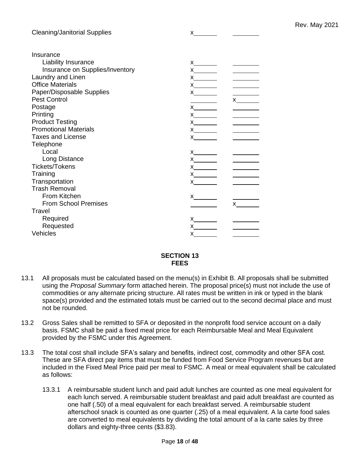| <b>Cleaning/Janitorial Supplies</b> |                                                                                                                                                                                                                                                                                                                                                                                                     |  |
|-------------------------------------|-----------------------------------------------------------------------------------------------------------------------------------------------------------------------------------------------------------------------------------------------------------------------------------------------------------------------------------------------------------------------------------------------------|--|
| Insurance                           |                                                                                                                                                                                                                                                                                                                                                                                                     |  |
| Liability Insurance                 |                                                                                                                                                                                                                                                                                                                                                                                                     |  |
| Insurance on Supplies/Inventory     |                                                                                                                                                                                                                                                                                                                                                                                                     |  |
| Laundry and Linen                   |                                                                                                                                                                                                                                                                                                                                                                                                     |  |
| <b>Office Materials</b>             |                                                                                                                                                                                                                                                                                                                                                                                                     |  |
| Paper/Disposable Supplies           | x                                                                                                                                                                                                                                                                                                                                                                                                   |  |
| <b>Pest Control</b>                 |                                                                                                                                                                                                                                                                                                                                                                                                     |  |
| Postage                             |                                                                                                                                                                                                                                                                                                                                                                                                     |  |
| Printing                            | $x$ and $x$ and $x$ and $x$ and $x$ and $x$ and $x$ and $x$ and $x$ and $x$ and $x$ and $x$ and $x$ and $x$ and $x$ and $x$ and $x$ and $x$ and $x$ and $x$ and $x$ and $x$ and $x$ and $x$ and $x$ and $x$ and $x$ and $x$ a                                                                                                                                                                       |  |
| <b>Product Testing</b>              | $x$ and $x$                                                                                                                                                                                                                                                                                                                                                                                         |  |
| <b>Promotional Materials</b>        |                                                                                                                                                                                                                                                                                                                                                                                                     |  |
| <b>Taxes and License</b>            |                                                                                                                                                                                                                                                                                                                                                                                                     |  |
| Telephone                           |                                                                                                                                                                                                                                                                                                                                                                                                     |  |
| Local                               |                                                                                                                                                                                                                                                                                                                                                                                                     |  |
| Long Distance                       |                                                                                                                                                                                                                                                                                                                                                                                                     |  |
| <b>Tickets/Tokens</b>               |                                                                                                                                                                                                                                                                                                                                                                                                     |  |
| Training                            |                                                                                                                                                                                                                                                                                                                                                                                                     |  |
| Transportation                      | $x$ and $\overline{a}$                                                                                                                                                                                                                                                                                                                                                                              |  |
| <b>Trash Removal</b>                |                                                                                                                                                                                                                                                                                                                                                                                                     |  |
| From Kitchen                        | x                                                                                                                                                                                                                                                                                                                                                                                                   |  |
| <b>From School Premises</b>         |                                                                                                                                                                                                                                                                                                                                                                                                     |  |
| Travel                              |                                                                                                                                                                                                                                                                                                                                                                                                     |  |
| Required                            |                                                                                                                                                                                                                                                                                                                                                                                                     |  |
| Requested                           | $\boldsymbol{\mathsf{X}}$ and $\boldsymbol{\mathsf{X}}$ and $\boldsymbol{\mathsf{X}}$ and $\boldsymbol{\mathsf{X}}$ are set of $\boldsymbol{\mathsf{X}}$ and $\boldsymbol{\mathsf{X}}$ and $\boldsymbol{\mathsf{X}}$ are set of $\boldsymbol{\mathsf{X}}$ and $\boldsymbol{\mathsf{X}}$ are set of $\boldsymbol{\mathsf{X}}$ and $\boldsymbol{\mathsf{X}}$ are set of $\boldsymbol{\mathsf{X}}$ and |  |
| Vehicles                            | X                                                                                                                                                                                                                                                                                                                                                                                                   |  |

#### **SECTION 13 FEES**

- 13.1 All proposals must be calculated based on the menu(s) in Exhibit B. All proposals shall be submitted using the *Proposal Summary* form attached herein. The proposal price(s) must not include the use of commodities or any alternate pricing structure. All rates must be written in ink or typed in the blank space(s) provided and the estimated totals must be carried out to the second decimal place and must not be rounded.
- 13.2 Gross Sales shall be remitted to SFA or deposited in the nonprofit food service account on a daily basis. FSMC shall be paid a fixed meal price for each Reimbursable Meal and Meal Equivalent provided by the FSMC under this Agreement.
- 13.3 The total cost shall include SFA's salary and benefits, indirect cost, commodity and other SFA cost. These are SFA direct pay items that must be funded from Food Service Program revenues but are included in the Fixed Meal Price paid per meal to FSMC. A meal or meal equivalent shall be calculated as follows:
	- 13.3.1 A reimbursable student lunch and paid adult lunches are counted as one meal equivalent for each lunch served. A reimbursable student breakfast and paid adult breakfast are counted as one half (.50) of a meal equivalent for each breakfast served. A reimbursable student afterschool snack is counted as one quarter (.25) of a meal equivalent. A la carte food sales are converted to meal equivalents by dividing the total amount of a la carte sales by three dollars and eighty-three cents (\$3.83).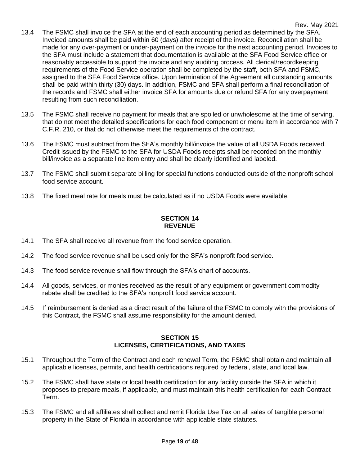- 13.4 The FSMC shall invoice the SFA at the end of each accounting period as determined by the SFA. Invoiced amounts shall be paid within 60 (days) after receipt of the invoice. Reconciliation shall be made for any over-payment or under-payment on the invoice for the next accounting period. Invoices to the SFA must include a statement that documentation is available at the SFA Food Service office or reasonably accessible to support the invoice and any auditing process. All clerical/recordkeeping requirements of the Food Service operation shall be completed by the staff, both SFA and FSMC, assigned to the SFA Food Service office. Upon termination of the Agreement all outstanding amounts shall be paid within thirty (30) days. In addition, FSMC and SFA shall perform a final reconciliation of the records and FSMC shall either invoice SFA for amounts due or refund SFA for any overpayment resulting from such reconciliation.
- 13.5 The FSMC shall receive no payment for meals that are spoiled or unwholesome at the time of serving, that do not meet the detailed specifications for each food component or menu item in accordance with 7 C.F.R. 210, or that do not otherwise meet the requirements of the contract.
- 13.6 The FSMC must subtract from the SFA's monthly bill/invoice the value of all USDA Foods received. Credit issued by the FSMC to the SFA for USDA Foods receipts shall be recorded on the monthly bill/invoice as a separate line item entry and shall be clearly identified and labeled.
- 13.7 The FSMC shall submit separate billing for special functions conducted outside of the nonprofit school food service account.
- 13.8 The fixed meal rate for meals must be calculated as if no USDA Foods were available.

#### **SECTION 14 REVENUE**

- 14.1 The SFA shall receive all revenue from the food service operation.
- 14.2 The food service revenue shall be used only for the SFA's nonprofit food service.
- 14.3 The food service revenue shall flow through the SFA's chart of accounts.
- 14.4 All goods, services, or monies received as the result of any equipment or government commodity rebate shall be credited to the SFA's nonprofit food service account.
- 14.5 If reimbursement is denied as a direct result of the failure of the FSMC to comply with the provisions of this Contract, the FSMC shall assume responsibility for the amount denied.

#### **SECTION 15 LICENSES, CERTIFICATIONS, AND TAXES**

- 15.1 Throughout the Term of the Contract and each renewal Term, the FSMC shall obtain and maintain all applicable licenses, permits, and health certifications required by federal, state, and local law.
- 15.2 The FSMC shall have state or local health certification for any facility outside the SFA in which it proposes to prepare meals, if applicable, and must maintain this health certification for each Contract Term.
- 15.3 The FSMC and all affiliates shall collect and remit Florida Use Tax on all sales of tangible personal property in the State of Florida in accordance with applicable state statutes.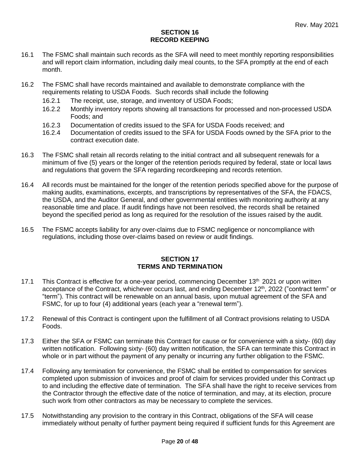#### **SECTION 16 RECORD KEEPING**

- 16.1 The FSMC shall maintain such records as the SFA will need to meet monthly reporting responsibilities and will report claim information, including daily meal counts, to the SFA promptly at the end of each month.
- 16.2 The FSMC shall have records maintained and available to demonstrate compliance with the requirements relating to USDA Foods. Such records shall include the following
	- 16.2.1 The receipt, use, storage, and inventory of USDA Foods;
	- 16.2.2 Monthly inventory reports showing all transactions for processed and non-processed USDA Foods; and
	- 16.2.3 Documentation of credits issued to the SFA for USDA Foods received; and
	- 16.2.4 Documentation of credits issued to the SFA for USDA Foods owned by the SFA prior to the contract execution date.
- 16.3 The FSMC shall retain all records relating to the initial contract and all subsequent renewals for a minimum of five (5) years or the longer of the retention periods required by federal, state or local laws and regulations that govern the SFA regarding recordkeeping and records retention.
- 16.4 All records must be maintained for the longer of the retention periods specified above for the purpose of making audits, examinations, excerpts, and transcriptions by representatives of the SFA, the FDACS, the USDA, and the Auditor General, and other governmental entities with monitoring authority at any reasonable time and place. If audit findings have not been resolved, the records shall be retained beyond the specified period as long as required for the resolution of the issues raised by the audit.
- 16.5 The FSMC accepts liability for any over-claims due to FSMC negligence or noncompliance with regulations, including those over-claims based on review or audit findings.

#### **SECTION 17 TERMS AND TERMINATION**

- 17.1 This Contract is effective for a one-year period, commencing December 13<sup>th</sup> 2021 or upon written acceptance of the Contract, whichever occurs last, and ending December 12<sup>th</sup>, 2022 ("contract term" or "term"). This contract will be renewable on an annual basis, upon mutual agreement of the SFA and FSMC, for up to four (4) additional years (each year a "renewal term").
- 17.2 Renewal of this Contract is contingent upon the fulfillment of all Contract provisions relating to USDA Foods.
- 17.3 Either the SFA or FSMC can terminate this Contract for cause or for convenience with a sixty- (60) day written notification. Following sixty- (60) day written notification, the SFA can terminate this Contract in whole or in part without the payment of any penalty or incurring any further obligation to the FSMC.
- 17.4 Following any termination for convenience, the FSMC shall be entitled to compensation for services completed upon submission of invoices and proof of claim for services provided under this Contract up to and including the effective date of termination. The SFA shall have the right to receive services from the Contractor through the effective date of the notice of termination, and may, at its election, procure such work from other contractors as may be necessary to complete the services.
- 17.5 Notwithstanding any provision to the contrary in this Contract, obligations of the SFA will cease immediately without penalty of further payment being required if sufficient funds for this Agreement are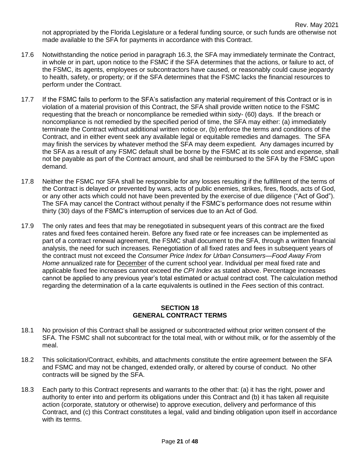not appropriated by the Florida Legislature or a federal funding source, or such funds are otherwise not made available to the SFA for payments in accordance with this Contract.

- 17.6 Notwithstanding the notice period in paragraph 16.3, the SFA may immediately terminate the Contract, in whole or in part, upon notice to the FSMC if the SFA determines that the actions, or failure to act, of the FSMC, its agents, employees or subcontractors have caused, or reasonably could cause jeopardy to health, safety, or property; or if the SFA determines that the FSMC lacks the financial resources to perform under the Contract.
- 17.7 If the FSMC fails to perform to the SFA's satisfaction any material requirement of this Contract or is in violation of a material provision of this Contract, the SFA shall provide written notice to the FSMC requesting that the breach or noncompliance be remedied within sixty- (60) days. If the breach or noncompliance is not remedied by the specified period of time, the SFA may either: (a) immediately terminate the Contract without additional written notice or, (b) enforce the terms and conditions of the Contract, and in either event seek any available legal or equitable remedies and damages. The SFA may finish the services by whatever method the SFA may deem expedient. Any damages incurred by the SFA as a result of any FSMC default shall be borne by the FSMC at its sole cost and expense, shall not be payable as part of the Contract amount, and shall be reimbursed to the SFA by the FSMC upon demand.
- 17.8 Neither the FSMC nor SFA shall be responsible for any losses resulting if the fulfillment of the terms of the Contract is delayed or prevented by wars, acts of public enemies, strikes, fires, floods, acts of God, or any other acts which could not have been prevented by the exercise of due diligence ("Act of God"). The SFA may cancel the Contract without penalty if the FSMC's performance does not resume within thirty (30) days of the FSMC's interruption of services due to an Act of God.
- 17.9 The only rates and fees that may be renegotiated in subsequent years of this contract are the fixed rates and fixed fees contained herein. Before any fixed rate or fee increases can be implemented as part of a contract renewal agreement, the FSMC shall document to the SFA, through a written financial analysis, the need for such increases. Renegotiation of all fixed rates and fees in subsequent years of the contract must not exceed the *Consumer Price Index for Urban Consumers—Food Away From Home* annualized rate for December of the current school year. Individual per meal fixed rate and applicable fixed fee increases cannot exceed *the CPI Index* as stated above. Percentage increases cannot be applied to any previous year's total estimated or actual contract cost. The calculation method regarding the determination of a la carte equivalents is outlined in the *Fees* section of this contract.

#### **SECTION 18 GENERAL CONTRACT TERMS**

- 18.1 No provision of this Contract shall be assigned or subcontracted without prior written consent of the SFA. The FSMC shall not subcontract for the total meal, with or without milk, or for the assembly of the meal.
- 18.2 This solicitation/Contract, exhibits, and attachments constitute the entire agreement between the SFA and FSMC and may not be changed, extended orally, or altered by course of conduct. No other contracts will be signed by the SFA.
- 18.3 Each party to this Contract represents and warrants to the other that: (a) it has the right, power and authority to enter into and perform its obligations under this Contract and (b) it has taken all requisite action (corporate, statutory or otherwise) to approve execution, delivery and performance of this Contract, and (c) this Contract constitutes a legal, valid and binding obligation upon itself in accordance with its terms.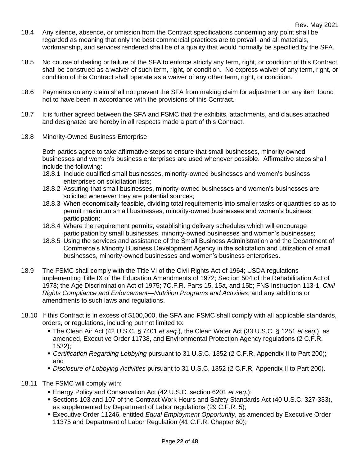- 18.4 Any silence, absence, or omission from the Contract specifications concerning any point shall be regarded as meaning that only the best commercial practices are to prevail, and all materials, workmanship, and services rendered shall be of a quality that would normally be specified by the SFA.
- 18.5 No course of dealing or failure of the SFA to enforce strictly any term, right, or condition of this Contract shall be construed as a waiver of such term, right, or condition. No express waiver of any term, right, or condition of this Contract shall operate as a waiver of any other term, right, or condition.
- 18.6 Payments on any claim shall not prevent the SFA from making claim for adjustment on any item found not to have been in accordance with the provisions of this Contract.
- 18.7 It is further agreed between the SFA and FSMC that the exhibits, attachments, and clauses attached and designated are hereby in all respects made a part of this Contract.
- 18.8 Minority-Owned Business Enterprise

Both parties agree to take affirmative steps to ensure that small businesses, minority-owned businesses and women's business enterprises are used whenever possible. Affirmative steps shall include the following:

- 18.8.1 Include qualified small businesses, minority-owned businesses and women's business enterprises on solicitation lists;
- 18.8.2 Assuring that small businesses, minority-owned businesses and women's businesses are solicited whenever they are potential sources;
- 18.8.3 When economically feasible, dividing total requirements into smaller tasks or quantities so as to permit maximum small businesses, minority-owned businesses and women's business participation;
- 18.8.4 Where the requirement permits, establishing delivery schedules which will encourage participation by small businesses, minority-owned businesses and women's businesses;
- 18.8.5 Using the services and assistance of the Small Business Administration and the Department of Commerce's Minority Business Development Agency in the solicitation and utilization of small businesses, minority-owned businesses and women's business enterprises.
- 18.9 The FSMC shall comply with the Title VI of the Civil Rights Act of 1964; USDA regulations implementing Title IX of the Education Amendments of 1972; Section 504 of the Rehabilitation Act of 1973; the Age Discrimination Act of 1975; 7C.F.R. Parts 15, 15a, and 15b; FNS Instruction 113-1, *Civil Rights Compliance and Enforcement—Nutrition Programs and Activities*; and any additions or amendments to such laws and regulations.
- 18.10 If this Contract is in excess of \$100,000, the SFA and FSMC shall comply with all applicable standards, orders, or regulations, including but not limited to:
	- The Clean Air Act (42 U.S.C. § 7401 *et seq.*), the Clean Water Act (33 U.S.C. § 1251 *et seq.*), as amended, Executive Order 11738, and Environmental Protection Agency regulations (2 C.F.R. 1532);
	- *Certification Regarding Lobbying* pursuant to 31 U.S.C. 1352 (2 C.F.R. Appendix II to Part 200); and
	- *Disclosure of Lobbying Activities* pursuant to 31 U.S.C. 1352 (2 C.F.R. Appendix II to Part 200).
- 18.11 The FSMC will comply with:
	- Energy Policy and Conservation Act (42 U.S.C. section 6201 *et seq.*);
	- Sections 103 and 107 of the Contract Work Hours and Safety Standards Act (40 U.S.C. 327-333), as supplemented by Department of Labor regulations (29 C.F.R. 5);
	- **Executive Order 11246, entitled** *Equal Employment Opportunity***, as amended by Executive Order** 11375 and Department of Labor Regulation (41 C.F.R. Chapter 60);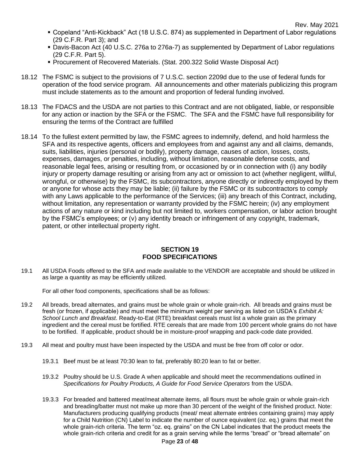- Copeland "Anti-Kickback" Act (18 U.S.C. 874) as supplemented in Department of Labor regulations (29 C.F.R. Part 3); and
- **Davis-Bacon Act (40 U.S.C. 276a to 276a-7) as supplemented by Department of Labor regulations** (29 C.F.R. Part 5).
- Procurement of Recovered Materials. (Stat. 200.322 Solid Waste Disposal Act)
- 18.12 The FSMC is subject to the provisions of 7 U.S.C. section 2209d due to the use of federal funds for operation of the food service program. All announcements and other materials publicizing this program must include statements as to the amount and proportion of federal funding involved.
- 18.13 The FDACS and the USDA are not parties to this Contract and are not obligated, liable, or responsible for any action or inaction by the SFA or the FSMC. The SFA and the FSMC have full responsibility for ensuring the terms of the Contract are fulfilled
- 18.14 To the fullest extent permitted by law, the FSMC agrees to indemnify, defend, and hold harmless the SFA and its respective agents, officers and employees from and against any and all claims, demands, suits, liabilities, injuries (personal or bodily), property damage, causes of action, losses, costs, expenses, damages, or penalties, including, without limitation, reasonable defense costs, and reasonable legal fees, arising or resulting from, or occasioned by or in connection with (i) any bodily injury or property damage resulting or arising from any act or omission to act (whether negligent, willful, wrongful, or otherwise) by the FSMC, its subcontractors, anyone directly or indirectly employed by them or anyone for whose acts they may be liable; (ii) failure by the FSMC or its subcontractors to comply with any Laws applicable to the performance of the Services; (iii) any breach of this Contract, including, without limitation, any representation or warranty provided by the FSMC herein; (iv) any employment actions of any nature or kind including but not limited to, workers compensation, or labor action brought by the FSMC's employees; or (v) any identity breach or infringement of any copyright, trademark, patent, or other intellectual property right.

#### **SECTION 19 FOOD SPECIFICATIONS**

19.1 All USDA Foods offered to the SFA and made available to the VENDOR are acceptable and should be utilized in as large a quantity as may be efficiently utilized.

For all other food components, specifications shall be as follows:

- 19.2 All breads, bread alternates, and grains must be whole grain or whole grain-rich. All breads and grains must be fresh (or frozen, if applicable) and must meet the minimum weight per serving as listed on USDA's *Exhibit A: School Lunch and Breakfast*. Ready-to-Eat (RTE) breakfast cereals must list a whole grain as the primary ingredient and the cereal must be fortified. RTE cereals that are made from 100 percent whole grains do not have to be fortified. If applicable, product should be in moisture-proof wrapping and pack-code date provided.
- 19.3 All meat and poultry must have been inspected by the USDA and must be free from off color or odor.
	- 19.3.1 Beef must be at least 70:30 lean to fat, preferably 80:20 lean to fat or better.
	- 19.3.2 Poultry should be U.S. Grade A when applicable and should meet the recommendations outlined in *Specifications for Poultry Products, A Guide for Food Service Operators* from the USDA.
	- 19.3.3 For breaded and battered meat/meat alternate items, all flours must be whole grain or whole grain-rich and breading/batter must not make up more than 30 percent of the weight of the finished product. Note: Manufacturers producing qualifying products (meat/ meat alternate entrées containing grains) may apply for a Child Nutrition (CN) Label to indicate the number of ounce equivalent (oz. eq.) grains that meet the whole grain-rich criteria. The term "oz. eq. grains" on the CN Label indicates that the product meets the whole grain-rich criteria and credit for as a grain serving while the terms "bread" or "bread alternate" on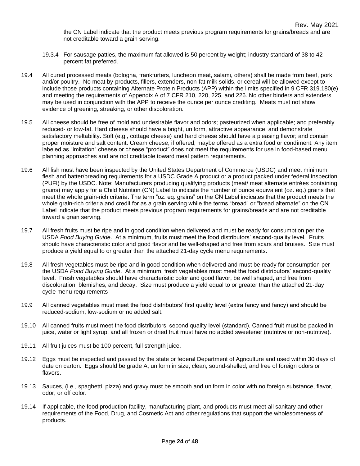- 19.3.4 For sausage patties, the maximum fat allowed is 50 percent by weight; industry standard of 38 to 42 percent fat preferred.
- 19.4 All cured processed meats (bologna, frankfurters, luncheon meat, salami, others) shall be made from beef, pork and/or poultry. No meat by-products, fillers, extenders, non-fat milk solids, or cereal will be allowed except to include those products containing Alternate Protein Products (APP) within the limits specified in 9 CFR 319.180(e) and meeting the requirements of Appendix A of 7 CFR 210, 220, 225, and 226. No other binders and extenders may be used in conjunction with the APP to receive the ounce per ounce crediting. Meats must not show evidence of greening, streaking, or other discoloration.
- 19.5 All cheese should be free of mold and undesirable flavor and odors; pasteurized when applicable; and preferably reduced- or low-fat. Hard cheese should have a bright, uniform, attractive appearance, and demonstrate satisfactory meltability. Soft (e.g., cottage cheese) and hard cheese should have a pleasing flavor; and contain proper moisture and salt content. Cream cheese, if offered, maybe offered as a extra food or condiment. Any item labeled as "imitation" cheese or cheese "product" does not meet the requirements for use in food-based menu planning approaches and are not creditable toward meal pattern requirements.
- 19.6 All fish must have been inspected by the United States Department of Commerce (USDC) and meet minimum flesh and batter/breading requirements for a USDC Grade A product or a product packed under federal inspection (PUFI) by the USDC. Note: Manufacturers producing qualifying products (meat/ meat alternate entrées containing grains) may apply for a Child Nutrition (CN) Label to indicate the number of ounce equivalent (oz. eq.) grains that meet the whole grain-rich criteria. The term "oz. eq. grains" on the CN Label indicates that the product meets the whole grain-rich criteria and credit for as a grain serving while the terms "bread" or "bread alternate" on the CN Label indicate that the product meets previous program requirements for grains/breads and are not creditable toward a grain serving.
- 19.7 All fresh fruits must be ripe and in good condition when delivered and must be ready for consumption per the USDA *Food Buying Guide*. At a minimum, fruits must meet the food distributors' second-quality level. Fruits should have characteristic color and good flavor and be well-shaped and free from scars and bruises. Size must produce a yield equal to or greater than the attached 21-day cycle menu requirements.
- 19.8 All fresh vegetables must be ripe and in good condition when delivered and must be ready for consumption per the USDA *Food Buying Guide*. At a minimum, fresh vegetables must meet the food distributors' second-quality level. Fresh vegetables should have characteristic color and good flavor, be well shaped, and free from discoloration, blemishes, and decay. Size must produce a yield equal to or greater than the attached 21-day cycle menu requirements
- 19.9 All canned vegetables must meet the food distributors' first quality level (extra fancy and fancy) and should be reduced-sodium, low-sodium or no added salt.
- 19.10 All canned fruits must meet the food distributors' second quality level (standard). Canned fruit must be packed in juice, water or light syrup, and all frozen or dried fruit must have no added sweetener (nutritive or non-nutritive).
- 19.11 All fruit juices must be 100 percent, full strength juice.
- 19.12 Eggs must be inspected and passed by the state or federal Department of Agriculture and used within 30 days of date on carton. Eggs should be grade A, uniform in size, clean, sound-shelled, and free of foreign odors or flavors.
- 19.13 Sauces, (i.e., spaghetti, pizza) and gravy must be smooth and uniform in color with no foreign substance, flavor, odor, or off color.
- 19.14 If applicable, the food production facility, manufacturing plant, and products must meet all sanitary and other requirements of the Food, Drug, and Cosmetic Act and other regulations that support the wholesomeness of products.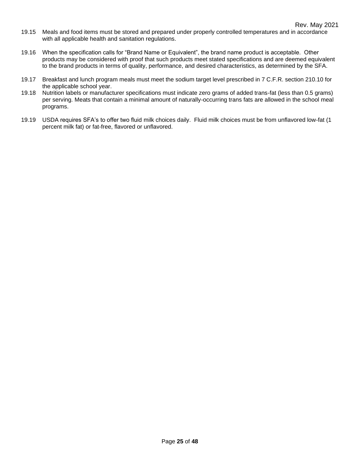- 19.15 Meals and food items must be stored and prepared under properly controlled temperatures and in accordance with all applicable health and sanitation regulations.
- 19.16 When the specification calls for "Brand Name or Equivalent", the brand name product is acceptable. Other products may be considered with proof that such products meet stated specifications and are deemed equivalent to the brand products in terms of quality, performance, and desired characteristics, as determined by the SFA.
- 19.17 Breakfast and lunch program meals must meet the sodium target level prescribed in 7 C.F.R. section 210.10 for the applicable school year.
- 19.18 Nutrition labels or manufacturer specifications must indicate zero grams of added trans-fat (less than 0.5 grams) per serving. Meats that contain a minimal amount of naturally-occurring trans fats are allowed in the school meal programs.
- 19.19 USDA requires SFA's to offer two fluid milk choices daily. Fluid milk choices must be from unflavored low-fat (1 percent milk fat) or fat-free, flavored or unflavored.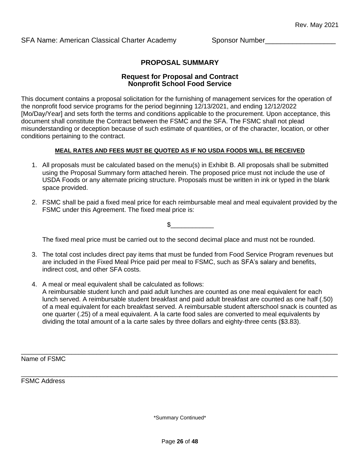## **PROPOSAL SUMMARY**

#### **Request for Proposal and Contract Nonprofit School Food Service**

This document contains a proposal solicitation for the furnishing of management services for the operation of the nonprofit food service programs for the period beginning 12/13/2021, and ending 12/12/2022 [Mo/Day/Year] and sets forth the terms and conditions applicable to the procurement. Upon acceptance, this document shall constitute the Contract between the FSMC and the SFA. The FSMC shall not plead misunderstanding or deception because of such estimate of quantities, or of the character, location, or other conditions pertaining to the contract.

#### **MEAL RATES AND FEES MUST BE QUOTED AS IF NO USDA FOODS WILL BE RECEIVED**

- 1. All proposals must be calculated based on the menu(s) in Exhibit B. All proposals shall be submitted using the Proposal Summary form attached herein. The proposed price must not include the use of USDA Foods or any alternate pricing structure. Proposals must be written in ink or typed in the blank space provided.
- 2. FSMC shall be paid a fixed meal price for each reimbursable meal and meal equivalent provided by the FSMC under this Agreement. The fixed meal price is:

 $\mathbb S$ 

The fixed meal price must be carried out to the second decimal place and must not be rounded.

- 3. The total cost includes direct pay items that must be funded from Food Service Program revenues but are included in the Fixed Meal Price paid per meal to FSMC, such as SFA's salary and benefits, indirect cost, and other SFA costs.
- 4. A meal or meal equivalent shall be calculated as follows: A reimbursable student lunch and paid adult lunches are counted as one meal equivalent for each lunch served. A reimbursable student breakfast and paid adult breakfast are counted as one half (.50) of a meal equivalent for each breakfast served. A reimbursable student afterschool snack is counted as one quarter (.25) of a meal equivalent. A la carte food sales are converted to meal equivalents by dividing the total amount of a la carte sales by three dollars and eighty-three cents (\$3.83).

Name of FSMC

FSMC Address

\*Summary Continued\*

\_\_\_\_\_\_\_\_\_\_\_\_\_\_\_\_\_\_\_\_\_\_\_\_\_\_\_\_\_\_\_\_\_\_\_\_\_\_\_\_\_\_\_\_\_\_\_\_\_\_\_\_\_\_\_\_\_\_\_\_\_\_\_\_\_\_\_\_\_\_\_\_\_\_\_\_\_\_\_\_\_\_\_\_\_\_\_\_

\_\_\_\_\_\_\_\_\_\_\_\_\_\_\_\_\_\_\_\_\_\_\_\_\_\_\_\_\_\_\_\_\_\_\_\_\_\_\_\_\_\_\_\_\_\_\_\_\_\_\_\_\_\_\_\_\_\_\_\_\_\_\_\_\_\_\_\_\_\_\_\_\_\_\_\_\_\_\_\_\_\_\_\_\_\_\_\_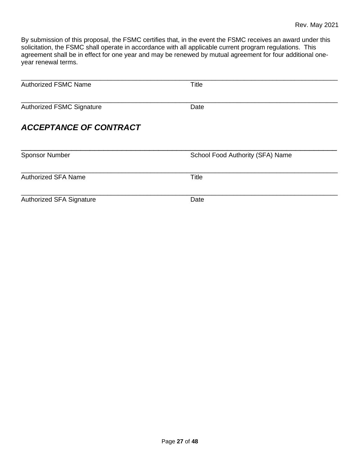By submission of this proposal, the FSMC certifies that, in the event the FSMC receives an award under this solicitation, the FSMC shall operate in accordance with all applicable current program regulations. This agreement shall be in effect for one year and may be renewed by mutual agreement for four additional oneyear renewal terms.

| <b>Authorized FSMC Name</b>      | <b>Title</b>                     |
|----------------------------------|----------------------------------|
| <b>Authorized FSMC Signature</b> | Date                             |
| <b>ACCEPTANCE OF CONTRACT</b>    |                                  |
| <b>Sponsor Number</b>            | School Food Authority (SFA) Name |
| <b>Authorized SFA Name</b>       | <b>Title</b>                     |
| Authorized SFA Signature         | Date                             |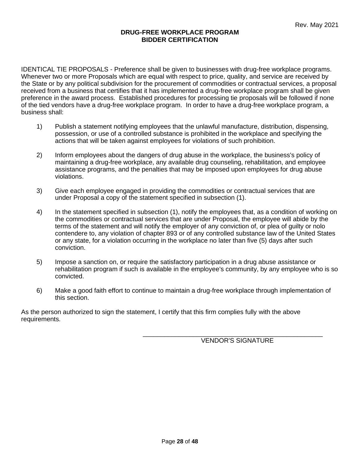#### **DRUG-FREE WORKPLACE PROGRAM BIDDER CERTIFICATION**

IDENTICAL TIE PROPOSALS - Preference shall be given to businesses with drug-free workplace programs. Whenever two or more Proposals which are equal with respect to price, quality, and service are received by the State or by any political subdivision for the procurement of commodities or contractual services, a proposal received from a business that certifies that it has implemented a drug-free workplace program shall be given preference in the award process. Established procedures for processing tie proposals will be followed if none of the tied vendors have a drug-free workplace program. In order to have a drug-free workplace program, a business shall:

- 1) Publish a statement notifying employees that the unlawful manufacture, distribution, dispensing, possession, or use of a controlled substance is prohibited in the workplace and specifying the actions that will be taken against employees for violations of such prohibition.
- 2) Inform employees about the dangers of drug abuse in the workplace, the business's policy of maintaining a drug-free workplace, any available drug counseling, rehabilitation, and employee assistance programs, and the penalties that may be imposed upon employees for drug abuse violations.
- 3) Give each employee engaged in providing the commodities or contractual services that are under Proposal a copy of the statement specified in subsection (1).
- 4) In the statement specified in subsection (1), notify the employees that, as a condition of working on the commodities or contractual services that are under Proposal, the employee will abide by the terms of the statement and will notify the employer of any conviction of, or plea of guilty or nolo contendere to, any violation of chapter 893 or of any controlled substance law of the United States or any state, for a violation occurring in the workplace no later than five (5) days after such conviction.
- 5) Impose a sanction on, or require the satisfactory participation in a drug abuse assistance or rehabilitation program if such is available in the employee's community, by any employee who is so convicted.
- 6) Make a good faith effort to continue to maintain a drug-free workplace through implementation of this section.

As the person authorized to sign the statement, I certify that this firm complies fully with the above requirements.

VENDOR'S SIGNATURE

\_\_\_\_\_\_\_\_\_\_\_\_\_\_\_\_\_\_\_\_\_\_\_\_\_\_\_\_\_\_\_\_\_\_\_\_\_\_\_\_\_\_\_\_\_\_\_\_\_\_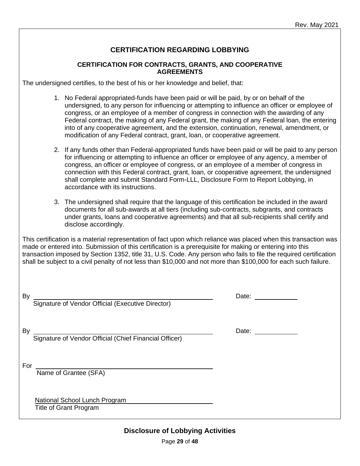# **CERTIFICATION REGARDING LOBBYING**

#### **CERTIFICATION FOR CONTRACTS, GRANTS, AND COOPERATIVE AGREEMENTS**

The undersigned certifies, to the best of his or her knowledge and belief, that:

- 1. No Federal appropriated-funds have been paid or will be paid, by or on behalf of the undersigned, to any person for influencing or attempting to influence an officer or employee of congress, or an employee of a member of congress in connection with the awarding of any Federal contract, the making of any Federal grant, the making of any Federal loan, the entering into of any cooperative agreement, and the extension, continuation, renewal, amendment, or modification of any Federal contract, grant, loan, or cooperative agreement.
- 2. If any funds other than Federal-appropriated funds have been paid or will be paid to any person for influencing or attempting to influence an officer or employee of any agency, a member of congress, an officer or employee of congress, or an employee of a member of congress in connection with this Federal contract, grant, loan, or cooperative agreement, the undersigned shall complete and submit Standard Form-LLL, Disclosure Form to Report Lobbying, in accordance with its instructions.
- 3. The undersigned shall require that the language of this certification be included in the award documents for all sub-awards at all tiers (including sub-contracts, subgrants, and contracts under grants, loans and cooperative agreements) and that all sub-recipients shall certify and disclose accordingly.

This certification is a material representation of fact upon which reliance was placed when this transaction was made or entered into. Submission of this certification is a prerequisite for making or entering into this transaction imposed by Section 1352, title 31, U.S. Code. Any person who fails to file the required certification shall be subject to a civil penalty of not less than \$10,000 and not more than \$100,000 for each such failure.

Signature of Vendor Official (Executive Director)

By <u>Constantine and the set of the set of the set of the set of the set of the set of the set of the set of the set of the set of the set of the set of the set of the set of the set of the set of the set of the set of the </u>

By <u>Constantine and the set of the set of the set of the set of the set of the set of the set of the set of the set of the set of the set of the set of the set of the set of the set of the set of the set of the set of the </u>

Signature of Vendor Official (Chief Financial Officer)

For

Name of Grantee (SFA)

 National School Lunch Program Title of Grant Program

**Disclosure of Lobbying Activities**

Page **29** of **48**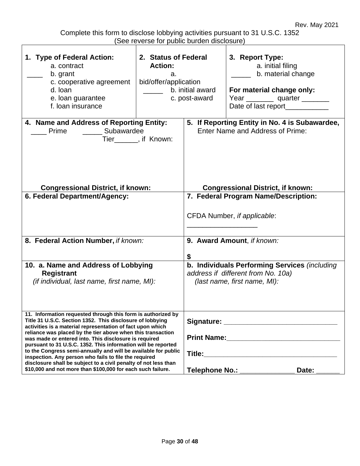Complete this form to disclose lobbying activities pursuant to 31 U.S.C. 1352 (See reverse for public burden disclosure)

| 1. Type of Federal Action:<br>a. contract<br>b. grant<br>c. cooperative agreement<br>d. Ioan<br>e. loan guarantee<br>f. loan insurance                                                                                                                                                                                                                                                                                                                                                                                                                                                                                                        | 2. Status of Federal<br><b>Action:</b><br>а.<br>bid/offer/application | b. initial award<br>c. post-award                                                                                              | 3. Report Type:<br>a. initial filing<br>b. material change<br>For material change only:<br>Year ___________ quarter _________<br>Date of last report___________ |  |  |  |  |
|-----------------------------------------------------------------------------------------------------------------------------------------------------------------------------------------------------------------------------------------------------------------------------------------------------------------------------------------------------------------------------------------------------------------------------------------------------------------------------------------------------------------------------------------------------------------------------------------------------------------------------------------------|-----------------------------------------------------------------------|--------------------------------------------------------------------------------------------------------------------------------|-----------------------------------------------------------------------------------------------------------------------------------------------------------------|--|--|--|--|
| 4. Name and Address of Reporting Entity:<br>Subawardee<br>Prime<br><b>Congressional District, if known:</b>                                                                                                                                                                                                                                                                                                                                                                                                                                                                                                                                   | Tier_______, if Known:                                                | 5. If Reporting Entity in No. 4 is Subawardee,<br>Enter Name and Address of Prime:<br><b>Congressional District, if known:</b> |                                                                                                                                                                 |  |  |  |  |
| 6. Federal Department/Agency:                                                                                                                                                                                                                                                                                                                                                                                                                                                                                                                                                                                                                 |                                                                       | 7. Federal Program Name/Description:<br>CFDA Number, if applicable:                                                            |                                                                                                                                                                 |  |  |  |  |
| 8. Federal Action Number, if known:                                                                                                                                                                                                                                                                                                                                                                                                                                                                                                                                                                                                           |                                                                       |                                                                                                                                | 9. Award Amount, if known:                                                                                                                                      |  |  |  |  |
| 10. a. Name and Address of Lobbying<br><b>Registrant</b><br>(if individual, last name, first name, MI):                                                                                                                                                                                                                                                                                                                                                                                                                                                                                                                                       |                                                                       | b. Individuals Performing Services (including<br>address if different from No. 10a)<br>(last name, first name, MI):            |                                                                                                                                                                 |  |  |  |  |
| 11. Information requested through this form is authorized by<br>Title 31 U.S.C. Section 1352. This disclosure of lobbying<br>activities is a material representation of fact upon which<br>reliance was placed by the tier above when this transaction<br>was made or entered into. This disclosure is required<br>pursuant to 31 U.S.C. 1352. This information will be reported<br>to the Congress semi-annually and will be available for public<br>inspection. Any person who fails to file the required<br>disclosure shall be subject to a civil penalty of not less than<br>\$10,000 and not more than \$100,000 for each such failure. |                                                                       | Telephone No.: _____________<br>Date:                                                                                          |                                                                                                                                                                 |  |  |  |  |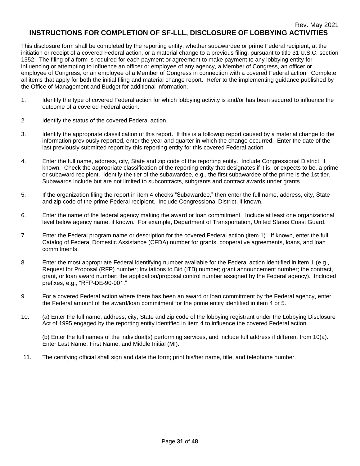This disclosure form shall be completed by the reporting entity, whether subawardee or prime Federal recipient, at the initiation or receipt of a covered Federal action, or a material change to a previous filing, pursuant to title 31 U.S.C. section 1352. The filing of a form is required for each payment or agreement to make payment to any lobbying entity for influencing or attempting to influence an officer or employee of any agency, a Member of Congress, an officer or employee of Congress, or an employee of a Member of Congress in connection with a covered Federal action. Complete all items that apply for both the initial filing and material change report. Refer to the implementing guidance published by the Office of Management and Budget for additional information.

- 1. Identify the type of covered Federal action for which lobbying activity is and/or has been secured to influence the outcome of a covered Federal action.
- 2. Identify the status of the covered Federal action.
- 3. Identify the appropriate classification of this report. If this is a followup report caused by a material change to the information previously reported, enter the year and quarter in which the change occurred. Enter the date of the last previously submitted report by this reporting entity for this covered Federal action.
- 4. Enter the full name, address, city, State and zip code of the reporting entity. Include Congressional District, if known. Check the appropriate classification of the reporting entity that designates if it is, or expects to be, a prime or subaward recipient. Identify the tier of the subawardee, e.g., the first subawardee of the prime is the 1st tier. Subawards include but are not limited to subcontracts, subgrants and contract awards under grants.
- 5. If the organization filing the report in item 4 checks "Subawardee," then enter the full name, address, city, State and zip code of the prime Federal recipient. Include Congressional District, if known.
- 6. Enter the name of the federal agency making the award or loan commitment. Include at least one organizational level below agency name, if known. For example, Department of Transportation, United States Coast Guard.
- 7. Enter the Federal program name or description for the covered Federal action (item 1). If known, enter the full Catalog of Federal Domestic Assistance (CFDA) number for grants, cooperative agreements, loans, and loan commitments.
- 8. Enter the most appropriate Federal identifying number available for the Federal action identified in item 1 (e.g., Request for Proposal (RFP) number; Invitations to Bid (ITB) number; grant announcement number; the contract, grant, or loan award number; the application/proposal control number assigned by the Federal agency). Included prefixes, e.g., "RFP-DE-90-001."
- 9. For a covered Federal action where there has been an award or loan commitment by the Federal agency, enter the Federal amount of the award/loan commitment for the prime entity identified in item 4 or 5.
- 10. (a) Enter the full name, address, city, State and zip code of the lobbying registrant under the Lobbying Disclosure Act of 1995 engaged by the reporting entity identified in item 4 to influence the covered Federal action.

(b) Enter the full names of the individual(s) performing services, and include full address if different from 10(a). Enter Last Name, First Name, and Middle Initial (MI).

11. The certifying official shall sign and date the form; print his/her name, title, and telephone number.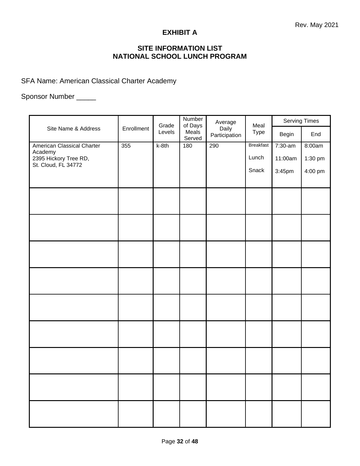## **EXHIBIT A**

# **SITE INFORMATION LIST NATIONAL SCHOOL LUNCH PROGRAM**

SFA Name: American Classical Charter Academy

# Sponsor Number \_\_\_\_\_

| Site Name & Address                          | Enrollment | Grade   | Number<br>of Days | Average                | Meal             |         | Serving Times |  |
|----------------------------------------------|------------|---------|-------------------|------------------------|------------------|---------|---------------|--|
|                                              |            | Levels  | Meals<br>Served   | Daily<br>Participation | <b>Type</b>      | Begin   | End           |  |
| <b>American Classical Charter</b><br>Academy | 355        | $k-8th$ | 180               | 290                    | <b>Breakfast</b> | 7:30-am | 8:00am        |  |
| 2395 Hickory Tree RD,<br>St. Cloud, FL 34772 |            |         |                   |                        | Lunch            | 11:00am | 1:30 pm       |  |
|                                              |            |         |                   |                        | Snack            | 3:45pm  | 4:00 pm       |  |
|                                              |            |         |                   |                        |                  |         |               |  |
|                                              |            |         |                   |                        |                  |         |               |  |
|                                              |            |         |                   |                        |                  |         |               |  |
|                                              |            |         |                   |                        |                  |         |               |  |
|                                              |            |         |                   |                        |                  |         |               |  |
|                                              |            |         |                   |                        |                  |         |               |  |
|                                              |            |         |                   |                        |                  |         |               |  |
|                                              |            |         |                   |                        |                  |         |               |  |
|                                              |            |         |                   |                        |                  |         |               |  |
|                                              |            |         |                   |                        |                  |         |               |  |
|                                              |            |         |                   |                        |                  |         |               |  |
|                                              |            |         |                   |                        |                  |         |               |  |
|                                              |            |         |                   |                        |                  |         |               |  |
|                                              |            |         |                   |                        |                  |         |               |  |
|                                              |            |         |                   |                        |                  |         |               |  |
|                                              |            |         |                   |                        |                  |         |               |  |
|                                              |            |         |                   |                        |                  |         |               |  |
|                                              |            |         |                   |                        |                  |         |               |  |
|                                              |            |         |                   |                        |                  |         |               |  |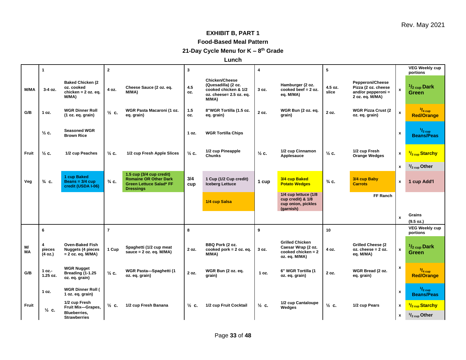## **EXHIBIT B, PART 1**

#### **Food-Based Meal Pattern**

**21-Day Cycle Menu for K – 8 th Grade**

**Lunch**

|              | $\mathbf{1}$            |                                                                           | $\mathbf{2}$     |                                                                                                                | 3                |                                                                                                          | 4                |                                                                                       | 5                |                                                                                  |              | <b>VEG Weekly cup</b><br>portions       |
|--------------|-------------------------|---------------------------------------------------------------------------|------------------|----------------------------------------------------------------------------------------------------------------|------------------|----------------------------------------------------------------------------------------------------------|------------------|---------------------------------------------------------------------------------------|------------------|----------------------------------------------------------------------------------|--------------|-----------------------------------------|
| <b>M/MA</b>  | 3-4 oz.                 | <b>Baked Chicken (2)</b><br>oz. cooked<br>chicken = $2$ oz. eq.<br>M/MA)  | 4 oz.            | Cheese Sauce (2 oz. eq.<br>M/MA)                                                                               | 4.5<br>OZ.       | <b>Chicken/Cheese</b><br>(Quesadilla) (2 oz.<br>cooked chicken & 1/2<br>oz. cheese= 2.5 oz. ea.<br>M/MA) | 3 oz.            | Hamburger (2 oz.<br>cooked beef $= 2$ oz.<br>eq. M/MA)                                | 4.5 oz.<br>slice | Pepperoni/Cheese<br>Pizza (2 oz. cheese<br>and/or pepperoni =<br>2 oz. eq. M/MA) | $\mathbf{x}$ | $\frac{1}{2}$ cup Dark<br><b>Green</b>  |
| G/B          | 1 oz.                   | <b>WGR Dinner Roll</b><br>(1 oz. eq. grain)                               | $\frac{1}{2}$ c. | WGR Pasta Macaroni (1 oz.<br>eq. grain)                                                                        | 1.5<br>oz.       | 8"WGR Tortilla (1.5 oz.<br>eq. grain)                                                                    | 2 oz.            | WGR Bun (2 oz. eq.<br>grain)                                                          | 2 oz.            | <b>WGR Pizza Crust (2)</b><br>oz. eq. grain)                                     | $\mathbf{x}$ | $3/4$ cup<br><b>Red/Orange</b>          |
|              | $\frac{1}{2}$ c.        | <b>Seasoned WGR</b><br><b>Brown Rice</b>                                  |                  |                                                                                                                | 1 oz.            | <b>WGR Tortilla Chips</b>                                                                                |                  |                                                                                       |                  |                                                                                  | x            | $1/2$ cup<br><b>Beans/Peas</b>          |
| Fruit        | $\frac{1}{2}$ c.        | 1/2 cup Peaches                                                           | $\frac{1}{2}$ c. | 1/2 cup Fresh Apple Slices                                                                                     | $\frac{1}{2}$ c. | 1/2 cup Pineapple<br><b>Chunks</b>                                                                       | $\frac{1}{2}$ c. | 1/2 cup Cinnamon<br>Applesauce                                                        | $\frac{1}{2}$ c. | 1/2 cup Fresh<br><b>Orange Wedges</b>                                            | x            | $\frac{1}{2}$ <sub>cup</sub> Starchy    |
|              |                         |                                                                           |                  |                                                                                                                |                  |                                                                                                          |                  |                                                                                       |                  |                                                                                  | x            | $1/2$ <sub>cup</sub> Other              |
| Veg          | $\frac{3}{4}$ C.        | 1 cup Baked<br>Beans = $3/4$ cup<br>credit (USDA I-06)                    | $\frac{3}{4}$ C. | 1.5 cup (3/4 cup credit)<br><b>Romaine OR Other Dark</b><br><b>Green Lettuce Salad* FF</b><br><b>Dressings</b> | 3/4<br>cup       | 1 Cup (1/2 Cup credit)<br><b>Iceberg Lettuce</b>                                                         | 1 cup            | 3/4 cup Baked<br><b>Potato Wedges</b>                                                 | $\frac{3}{4}$ C. | 3/4 cup Baby<br><b>Carrots</b>                                                   | x            | 1 cup Add'l                             |
|              |                         |                                                                           |                  |                                                                                                                |                  | 1/4 cup Salsa                                                                                            |                  | 1/4 cup lettuce (1/8<br>cup credit) & 1/8<br>cup onion, pickles<br>(garnish)          |                  | FF Ranch                                                                         |              |                                         |
|              |                         |                                                                           |                  |                                                                                                                |                  |                                                                                                          |                  |                                                                                       |                  |                                                                                  | $\mathbf{x}$ | <b>Grains</b><br>(9.5 oz.)              |
|              | 6                       |                                                                           | $\overline{7}$   |                                                                                                                | 8                |                                                                                                          | 9                |                                                                                       | 10               |                                                                                  |              | <b>VEG Weekly cup</b><br>portions       |
| M/<br>MA     | 4<br>pieces<br>(4 oz.)  | <b>Oven-Baked Fish</b><br><b>Nuggets (4 pieces</b><br>$= 2$ oz. eq. M/MA) | 1 Cup            | Spaghetti (1/2 cup meat<br>sauce = $2$ oz. eq. M/MA)                                                           | 2 oz.            | BBQ Pork (2 oz.<br>cooked pork $= 2$ oz. eq.<br>M/MA)                                                    | 3 oz.            | <b>Grilled Chicken</b><br>Caesar Wrap (2 oz.<br>cooked chicken = $2$<br>oz. eq. M/MA) | 4 oz.            | <b>Grilled Cheese (2)</b><br>$oz.$ cheese = $2 oz.$<br>eq. M/MA)                 | $\mathbf{x}$ | $\frac{1}{2}$ cup Dark<br>Green         |
| G/B          | $1 oz. -$<br>$1.25$ oz. | <b>WGR Nugget</b><br>Breading (1-1.25<br>oz. eq. grain)                   | $\frac{1}{2}$ C. | WGR Pasta-Spaghetti (1<br>oz. eq. grain)                                                                       | 2 oz.            | WGR Bun (2 oz. eq.<br>grain)                                                                             | 1 oz.            | 6" WGR Tortilla (1<br>oz. eq. grain)                                                  | 2 oz.            | WGR Bread (2 oz.<br>eq. grain)                                                   | x            | $\frac{3}{4}$ cup<br><b>Red/Orange</b>  |
|              | 1 oz.                   | <b>WGR Dinner Roll (</b><br>1 oz. eq. grain)                              |                  |                                                                                                                |                  |                                                                                                          |                  |                                                                                       |                  |                                                                                  | x            | $1/2$ cup<br><b>Beans/Peas</b>          |
|              |                         | 1/2 cup Fresh                                                             |                  |                                                                                                                |                  |                                                                                                          |                  | 1/2 cup Cantaloupe                                                                    |                  |                                                                                  |              |                                         |
| <b>Fruit</b> | $\frac{1}{2}$ c.        | Fruit Mix-Grapes,                                                         | $\frac{1}{2}$ c. | 1/2 cup Fresh Banana                                                                                           | $\frac{1}{2}$ c. | 1/2 cup Fruit Cocktail                                                                                   | $\frac{1}{2}$ c. | Wedges                                                                                | $\frac{1}{2}$ c. | 1/2 cup Pears                                                                    | x            | <sup>1</sup> / <sub>2 cup</sub> Starchy |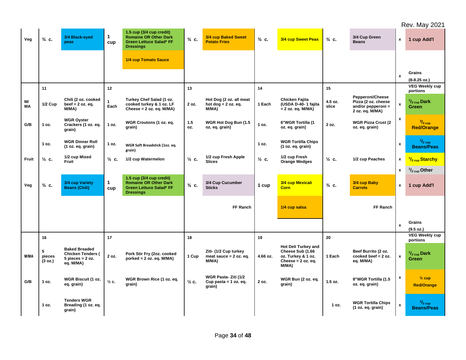Rev. May 2021

| Veg             | $\frac{3}{4}$ C.       | 3/4 Black-eyed<br>peas                                                                | $\mathbf{1}$<br>cup | 1.5 cup (3/4 cup credit)<br><b>Romaine OR Other Dark</b><br><b>Green Lettuce Salad* FF</b><br><b>Dressings</b> | $\frac{3}{4}$ C. | 3/4 cup Baked Sweet<br><b>Potato Fries</b>                 | $\frac{3}{4}$ C. | 3/4 cup Sweet Peas                                                                           | $\frac{3}{4}$ C. | 3/4 Cup Green<br><b>Beans</b>                                                    | $\mathbf{x}$              | 1 cup Add'l                                            |
|-----------------|------------------------|---------------------------------------------------------------------------------------|---------------------|----------------------------------------------------------------------------------------------------------------|------------------|------------------------------------------------------------|------------------|----------------------------------------------------------------------------------------------|------------------|----------------------------------------------------------------------------------|---------------------------|--------------------------------------------------------|
|                 |                        |                                                                                       |                     | 1/4 cup Tomato Sauce                                                                                           |                  |                                                            |                  |                                                                                              |                  |                                                                                  |                           |                                                        |
|                 |                        |                                                                                       |                     |                                                                                                                |                  |                                                            |                  |                                                                                              |                  |                                                                                  | $\mathbf{x}$              | Grains<br>(8-8.25 oz.)                                 |
|                 | 11                     |                                                                                       | 12                  |                                                                                                                | 13               |                                                            | 14               |                                                                                              | 15               |                                                                                  |                           | <b>VEG Weekly cup</b><br>portions                      |
| M/<br><b>MA</b> | <b>1/2 Cup</b>         | Chili (2 oz. cooked<br>beef $= 2$ oz. eq.<br>M/MA)                                    | Each                | Turkey Chef Salad (1 oz.<br>cooked turkey & 1 oz. LF<br>Cheese = $2$ oz. eq. $M/MA$ )                          | 2 oz.            | Hot Dog (2 oz. all meat<br>hot $dog = 2 oz. eq.$<br>M/MA)  | 1 Each           | Chicken Fajita<br>(USDA D-40-1 fajita<br>= 2 oz. eq. M/MA)                                   | 4.5 oz.<br>slice | Pepperoni/Cheese<br>Pizza (2 oz. cheese<br>and/or pepperoni =<br>2 oz. eq. M/MA) | $\pmb{\mathsf{x}}$        | $\frac{1}{2}$ cup Dark<br>Green                        |
| G/B             | 1 oz.                  | <b>WGR Oyster</b><br>Crackers (1 oz. eq.<br>grain)                                    | 1 oz.               | WGR Croutons (1 oz. eq.<br>grain)                                                                              | 1.5<br>OZ.       | WGR Hot Dog Bun (1.5<br>oz. eq. grain)                     | 1 oz.            | 6"WGR Tortilla (1<br>oz. eq. grain)                                                          | 2 oz.            | <b>WGR Pizza Crust (2)</b><br>oz. eq. grain)                                     | $\pmb{\mathsf{x}}$        | $\frac{3}{4}$ cup<br><b>Red/Orange</b>                 |
|                 | 1 oz.                  | <b>WGR Dinner Roll</b><br>(1 oz. eq. grain)                                           | 1 oz.               | WGR Soft Breadstick (1oz. eq.<br>grain)                                                                        |                  |                                                            | 1 oz.            | <b>WGR Tortilla Chips</b><br>(1 oz. eq. grain)                                               |                  |                                                                                  | $\pmb{\chi}$              | $1/2$ cup<br><b>Beans/Peas</b>                         |
| Fruit           | $\frac{1}{2}$ C.       | 1/2 cup Mixed<br>Fruit                                                                | $\frac{1}{2}$ c.    | 1/2 cup Watermelon                                                                                             | $\frac{1}{2}$ c. | 1/2 cup Fresh Apple<br><b>Slices</b>                       | $\frac{1}{2}$ C. | 1/2 cup Fresh<br><b>Orange Wedges</b>                                                        | $\frac{1}{2}$ c. | 1/2 cup Peaches                                                                  | x                         | <sup>1</sup> / <sub>2 cup</sub> Starchy                |
|                 |                        |                                                                                       |                     |                                                                                                                |                  |                                                            |                  |                                                                                              |                  |                                                                                  | $\pmb{\mathsf{x}}$        | $\frac{1}{2}$ <sub>cup</sub> Other                     |
| Veg             | $\frac{3}{4}$ C.       | 3/4 cup Variety<br><b>Beans (Chili)</b>                                               | $\mathbf{1}$<br>cup | 1.5 cup (3/4 cup credit)<br><b>Romaine OR Other Dark</b><br><b>Green Lettuce Salad* FF</b><br><b>Dressings</b> | $\frac{3}{4}$ C. | 3/4 Cup Cucumber<br><b>Sticks</b>                          | 1 cup            | 3/4 cup Mexicali<br><b>Corn</b>                                                              | $\frac{3}{4}$ C. | 3/4 cup Baby<br><b>Carrots</b>                                                   | $\pmb{\mathsf{x}}$        | 1 cup Add'l                                            |
|                 |                        |                                                                                       |                     |                                                                                                                |                  | FF Ranch                                                   |                  | 1/4 cup salsa                                                                                |                  | FF Ranch                                                                         |                           |                                                        |
|                 |                        |                                                                                       |                     |                                                                                                                |                  |                                                            |                  |                                                                                              |                  |                                                                                  | $\boldsymbol{\mathsf{x}}$ | Grains                                                 |
|                 | 16                     |                                                                                       | 17                  |                                                                                                                | 18               |                                                            | 19               |                                                                                              | 20               |                                                                                  |                           | (9.5 oz.)<br><b>VEG Weekly cup</b>                     |
| M/MA            | 5<br>pieces<br>(3 oz.) | <b>Baked Breaded</b><br><b>Chicken Tenders (</b><br>$5$ pieces = $2$ oz.<br>eq. M/MA) | 2 oz.               | Pork Stir Fry (2oz. cooked<br>$porked = 2 oz. eq. M/MA)$                                                       | 1 Cup            | Ziti- (1/2 Cup turkey<br>meat sauce $= 2$ oz. eq.<br>M/MA) | 4.66 oz.         | Hot Deli Turkey and<br>Cheese Sub (1.66<br>oz. Turkey & 1 oz.<br>Cheese = 2 oz. eq.<br>M/MA) | 1 Each           | Beef Burrito (2 oz.<br>cooked beef $= 2$ oz.<br>eq. M/MA)                        | $\mathbf{x}$              | portions<br>$\frac{1}{2}$ <sub>cup</sub> Dark<br>Green |
| G/B             | 1 oz.                  | WGR Biscuit (1 oz.<br>eq. grain)                                                      | $\frac{1}{2}$ c.    | WGR Brown Rice (1 oz. eq.<br>grain)                                                                            | $\frac{1}{2}$ c. | WGR Pasta- Ziti (1/2<br>Cup pasta = $1$ oz. eq.<br>grain)  | 2 oz.            | WGR Bun (2 oz. eq.<br>grain)                                                                 | $1.5$ oz.        | 8"WGR Tortilla (1.5<br>oz. eq. grain)                                            | $\pmb{\mathsf{x}}$        | $\frac{3}{4}$ cup<br><b>Red/Orange</b>                 |
|                 | 1 oz.                  | <b>Tenders WGR</b><br>Breading (1 oz. eq.<br>grain)                                   |                     |                                                                                                                |                  |                                                            |                  |                                                                                              | 1 oz.            | <b>WGR Tortilla Chips</b><br>(1 oz. eq. grain)                                   | $\boldsymbol{\mathsf{x}}$ | $\frac{1}{2}$ cup<br><b>Beans/Peas</b>                 |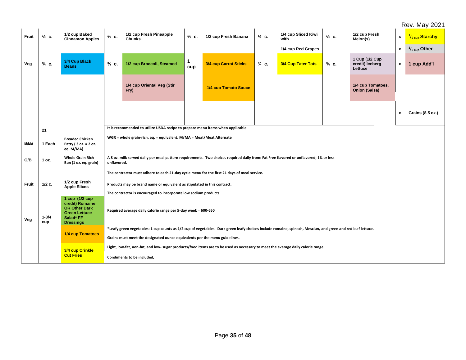# Rev. May 2021

|       |                  |                                                                                                  |                  |                                                                                                                                                             |                     |                       |                  |                             |                  |                                              |                    | <b>Rev. May 2021</b>               |  |  |
|-------|------------------|--------------------------------------------------------------------------------------------------|------------------|-------------------------------------------------------------------------------------------------------------------------------------------------------------|---------------------|-----------------------|------------------|-----------------------------|------------------|----------------------------------------------|--------------------|------------------------------------|--|--|
| Fruit | $\frac{1}{2}$ c. | 1/2 cup Baked<br><b>Cinnamon Apples</b>                                                          | $\frac{1}{2}$ c. | 1/2 cup Fresh Pineapple<br><b>Chunks</b>                                                                                                                    | $\frac{1}{2}$ c.    | 1/2 cup Fresh Banana  | $\frac{1}{2}$ c. | 1/4 cup Sliced Kiwi<br>with | $\frac{1}{2}$ c. | 1/2 cup Fresh<br>Melon(s)                    | x                  | 1/ <sub>2 cup</sub> Starchy        |  |  |
|       |                  |                                                                                                  |                  |                                                                                                                                                             |                     |                       |                  | 1/4 cup Red Grapes          |                  |                                              | $\pmb{\mathsf{x}}$ | $\frac{1}{2}$ <sub>cup</sub> Other |  |  |
| Veg   | $\frac{3}{4}$ C. | 3/4 Cup Black<br><b>Beans</b>                                                                    | $\frac{3}{4}$ C. | 1/2 cup Broccoli, Steamed                                                                                                                                   | $\mathbf{1}$<br>cup | 3/4 cup Carrot Sticks | $\frac{3}{4}$ C. | 3/4 Cup Tater Tots          | $\frac{3}{4}$ C. | 1 Cup (1/2 Cup<br>credit) Iceberg<br>Lettuce | $\pmb{\mathsf{x}}$ | 1 cup Add'l                        |  |  |
|       |                  |                                                                                                  |                  | 1/4 cup Oriental Veg (Stir<br>Fry)                                                                                                                          |                     | 1/4 cup Tomato Sauce  |                  |                             |                  | 1/4 cup Tomatoes,<br><b>Onion (Salsa)</b>    |                    |                                    |  |  |
|       |                  |                                                                                                  |                  |                                                                                                                                                             |                     |                       |                  |                             |                  |                                              | x                  | Grains (8.5 oz.)                   |  |  |
|       | 21               |                                                                                                  |                  | It is recommended to utilize USDA recipe to prepare menu items when applicable.                                                                             |                     |                       |                  |                             |                  |                                              |                    |                                    |  |  |
| M/MA  | 1 Each           | <b>Breaded Chicken</b><br>Patty (3 oz. = 2 oz.<br>eq. M/MA)                                      |                  | WGR = whole grain-rich, eq. = equivalent, M/MA = Meat/Meat Alternate                                                                                        |                     |                       |                  |                             |                  |                                              |                    |                                    |  |  |
| G/B   | 1 oz.            | <b>Whole Grain Rich</b><br>Bun (1 oz. eq. grain)                                                 | unflavored.      | A 8 oz. milk served daily per meal pattern requirements. Two choices required daily from: Fat Free flavored or unflavored; 1% or less                       |                     |                       |                  |                             |                  |                                              |                    |                                    |  |  |
|       |                  |                                                                                                  |                  | The contractor must adhere to each 21-day cycle menu for the first 21 days of meal service.                                                                 |                     |                       |                  |                             |                  |                                              |                    |                                    |  |  |
| Fruit | 1/2 c.           | 1/2 cup Fresh<br><b>Apple Slices</b>                                                             |                  | Products may be brand name or equivalent as stipulated in this contract.                                                                                    |                     |                       |                  |                             |                  |                                              |                    |                                    |  |  |
|       |                  | 1 cup (1/2 cup                                                                                   |                  | The contractor is encouraged to incorporate low sodium products.                                                                                            |                     |                       |                  |                             |                  |                                              |                    |                                    |  |  |
| Veg   | $1 - 3/4$<br>cup | credit) Romaine<br><b>OR Other Dark</b><br><b>Green Lettuce</b><br>Salad* FF<br><b>Dressings</b> |                  | Required average daily calorie range per 5-day week = 600-650                                                                                               |                     |                       |                  |                             |                  |                                              |                    |                                    |  |  |
|       |                  | <b>1/4 cup Tomatoes</b>                                                                          |                  | *Leafy green vegetables: 1 cup counts as 1/2 cup of vegetables. Dark green leafy choices include romaine, spinach, Mesclun, and green and red leaf lettuce. |                     |                       |                  |                             |                  |                                              |                    |                                    |  |  |
|       |                  |                                                                                                  |                  | Grains must meet the designated ounce equivalents per the menu guidelines.                                                                                  |                     |                       |                  |                             |                  |                                              |                    |                                    |  |  |
|       |                  | 3/4 cup Crinkle                                                                                  |                  | Light, low-fat, non-fat, and low- sugar products/food items are to be used as necessary to meet the average daily calorie range.                            |                     |                       |                  |                             |                  |                                              |                    |                                    |  |  |
|       |                  | <b>Cut Fries</b>                                                                                 |                  | Condiments to be included,                                                                                                                                  |                     |                       |                  |                             |                  |                                              |                    |                                    |  |  |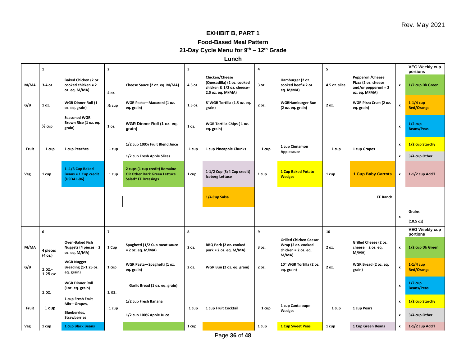# **EXHIBIT B, PART 1**

#### **Food-Based Meal Pattern**

**21-Day Cycle Menu for 9th – 12th Grade**

**Lunch**

|                | $\mathbf{1}$          |                                                                  | $\overline{2}$    |                                                                                            | 3       |                                                                                                | 4     |                                                                                     | 5             |                                                                                    |                    | <b>VEG Weekly cup</b><br>portions |   |               |
|----------------|-----------------------|------------------------------------------------------------------|-------------------|--------------------------------------------------------------------------------------------|---------|------------------------------------------------------------------------------------------------|-------|-------------------------------------------------------------------------------------|---------------|------------------------------------------------------------------------------------|--------------------|-----------------------------------|---|---------------|
| M/MA           | 3-4 oz.               | Baked Chicken (2 oz.<br>cooked chicken = 2<br>oz. eq. M/MA)      | 4 oz.             | Cheese Sauce (2 oz. eq. M/MA)                                                              | 4.5 oz. | Chicken/Cheese<br>(Quesadilla) (2 oz. cooked<br>chicken & 1/2 oz. cheese=<br>2.5 oz. eq. M/MA) | 3 oz. | Hamburger (2 oz.<br>cooked beef = 2 oz.<br>eq. M/MA)                                | 4.5 oz. slice | Pepperoni/Cheese<br>Pizza (2 oz. cheese<br>and/or pepperoni = $2$<br>oz. eq. M/MA) | x                  | 1/2 cup Dk Green                  |   |               |
| G/B            | 1 oz.                 | <b>WGR Dinner Roll (1</b><br>oz. eq. grain)                      | $\frac{1}{2}$ cup | WGR Pasta-Macaroni (1 oz.<br>eq. grain)                                                    | 1.5 oz. | 8"WGR Tortilla (1.5 oz. eq.<br>grain)                                                          | 2 oz. | <b>WGRHamburger Bun</b><br>(2 oz. eq. grain)                                        | 2 oz.         | WGR Pizza Crust (2 oz.<br>eq. grain)                                               | x                  | $1-1/4$ cup<br><b>Red/Orange</b>  |   |               |
|                | $\frac{1}{2}$ cup     | <b>Seasoned WGR</b><br>Brown Rice (1 oz. eq.<br>grain)           | 1 oz.             | WGR Dinner Roll (1 oz. eq.<br>grain)                                                       | 1 oz.   | WGR Tortilla Chips (1 oz.<br>eq. grain)                                                        |       |                                                                                     |               |                                                                                    | x                  | $1/2$ cup<br><b>Beans/Peas</b>    |   |               |
| Fruit          | 1 cup                 | 1 cup Peaches                                                    | 1 cup             | 1/2 cup 100% Fruit Blend Juice                                                             | 1 cup   | 1 cup Pineapple Chunks                                                                         | 1 cup | 1 cup Cinnamon<br>Applesauce                                                        | 1 cup         | 1 cup Grapes                                                                       | $\pmb{\mathsf{x}}$ | 1/2 cup Starchy                   |   |               |
|                |                       |                                                                  |                   | 1/2 cup Fresh Apple Slices                                                                 |         |                                                                                                |       |                                                                                     |               |                                                                                    | x                  | 3/4 cup Other                     |   |               |
| Veg            | 1 cup                 | 1-1/3 Cup Baked<br><b>Beans = 1 Cup credit</b><br>(USDA I-06)    | 1 cup             | 2 cups (1 cup credit) Romaine<br><b>OR Other Dark Green Lettuce</b><br>Salad* FF Dressings | 1 cup   | 1-1/2 Cup (3/4 Cup credit)<br><b>Iceberg Lettuce</b>                                           | 1 cup | <b>1 Cup Baked Potato</b><br><b>Wedges</b>                                          | 1 cup         | <b>1 Cup Baby Carrots</b>                                                          | $\pmb{\mathsf{x}}$ | 1-1/2 cup Add'l                   |   |               |
|                |                       |                                                                  |                   |                                                                                            |         | 1/4 Cup Salsa                                                                                  |       |                                                                                     |               | FF Ranch                                                                           |                    |                                   |   |               |
|                |                       |                                                                  |                   |                                                                                            |         |                                                                                                |       |                                                                                     |               |                                                                                    | $\pmb{\mathsf{x}}$ | Grains                            |   |               |
|                |                       |                                                                  |                   |                                                                                            |         |                                                                                                |       |                                                                                     |               |                                                                                    |                    | (10.5 oz)                         |   |               |
|                | 6                     |                                                                  | $\overline{7}$    |                                                                                            | 8       |                                                                                                | 9     |                                                                                     | 10            |                                                                                    |                    | <b>VEG Weekly cup</b><br>portions |   |               |
| M/MA           | 4 pieces<br>(4 oz.)   | <b>Oven-Baked Fish</b><br>Nuggets (4 pieces = 2<br>oz. eq. M/MA) | 1 Cup             | Spaghetti (1/2 Cup meat sauce<br>$= 2$ oz. eq. M/MA)                                       | 2 oz.   | BBQ Pork (2 oz. cooked<br>$pork = 2 oz. eq. M/MA)$                                             | 3 oz. | <b>Grilled Chicken Caesar</b><br>Wrap (2 oz. cooked<br>chicken = 2 oz. eq.<br>M/MA) | 2 oz.         | Grilled Cheese (2 oz.<br>cheese = $2$ oz. eq.<br>M/MA)                             | $\pmb{\mathsf{x}}$ | 1/2 cup Dk Green                  |   |               |
| G/B            | $1 oz. -$<br>1.25 oz. | <b>WGR Nugget</b><br><b>Breading (1-1.25 oz.</b><br>eq. grain)   | 1 cup             | WGR Pasta-Spaghetti (1 oz.<br>eq. grain)                                                   | 2 oz.   | WGR Bun (2 oz. eq. grain)                                                                      | 2 oz. | 10" WGR Tortilla (2 oz.<br>eq. grain)                                               | 2 oz.         | WGR Bread (2 oz. eq.<br>grain)                                                     | x                  | $1-1/4$ cup<br><b>Red/Orange</b>  |   |               |
|                | 1 oz.                 | <b>WGR Dinner Roll</b><br>(10z. eq. grain)                       | 1 oz.             | Garlic Bread (1 oz. eq. grain)                                                             |         |                                                                                                |       |                                                                                     |               |                                                                                    | x                  | $1/2$ cup<br><b>Beans/Peas</b>    |   |               |
|                |                       | 1 cup Fresh Fruit<br>Mix-Grapes,                                 |                   | 1/2 cup Fresh Banana                                                                       |         |                                                                                                |       | 1 cup Cantaloupe                                                                    | 1 cup         | 1 cup Pears                                                                        | x                  | 1/2 cup Starchy                   |   |               |
| Fruit<br>1 cup |                       | <b>Blueberries</b> ,<br><b>Strawberries</b>                      |                   |                                                                                            | 1 cup   | 1/2 cup 100% Apple Juice                                                                       | 1 cup | 1 cup Fruit Cocktail                                                                | 1 cup         | Wedges                                                                             |                    |                                   | x | 3/4 cup Other |
| Veg            | 1 cup                 | 1 cup Black Beans                                                |                   |                                                                                            | 1 cup   |                                                                                                | 1 cup | <b>1 Cup Sweet Peas</b>                                                             | 1 cup         | 1 Cup Green Beans                                                                  | x                  | 1-1/2 cup Add'l                   |   |               |

Page **36** of **48**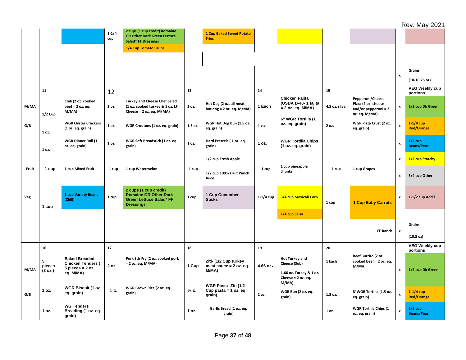|       |                        |                                                               |                  |                                                                                                             |                  |                                                            |             |                                                |                 |                                                              |                    | <b>Rev. May 2021</b>             |
|-------|------------------------|---------------------------------------------------------------|------------------|-------------------------------------------------------------------------------------------------------------|------------------|------------------------------------------------------------|-------------|------------------------------------------------|-----------------|--------------------------------------------------------------|--------------------|----------------------------------|
|       |                        |                                                               | $1 - 1/4$<br>cup | 2 cups (1 cup credit) Romaine<br><b>OR Other Dark Green Lettuce</b><br>Salad* FF Dressings                  |                  | <b>1 Cup Baked Sweet Potato</b><br><b>Fries</b>            |             |                                                |                 |                                                              |                    |                                  |
|       |                        |                                                               |                  | 1/4 Cup Tomato Sauce                                                                                        |                  |                                                            |             |                                                |                 |                                                              |                    |                                  |
|       |                        |                                                               |                  |                                                                                                             |                  |                                                            |             |                                                |                 |                                                              |                    |                                  |
|       |                        |                                                               |                  |                                                                                                             |                  |                                                            |             |                                                |                 |                                                              |                    | Grains                           |
|       |                        |                                                               |                  |                                                                                                             |                  |                                                            |             |                                                |                 |                                                              | $\pmb{\mathsf{x}}$ | $(10-10.25$ oz)                  |
|       | 11                     |                                                               |                  |                                                                                                             | 13               |                                                            | 14          |                                                | 15              |                                                              |                    | <b>VEG Weekly cup</b>            |
|       |                        |                                                               | 12               |                                                                                                             |                  |                                                            |             | Chicken Fajita                                 |                 | Pepperoni/Cheese                                             |                    | portions                         |
| M/MA  | $1/2$ Cup              | Chili (2 oz. cooked<br>beef = $2$ oz. eq.<br>M/MA)            | 2 oz.            | <b>Turkey and Cheese Chef Salad</b><br>(1 oz. cooked turkey & 1 oz. LF<br>Cheese = $2 oz. eq. M/MA$ )       | 2 oz.            | Hot Dog (2 oz. all meat<br>hot dog = $2$ oz. eq. M/MA)     | 1 Each      | (USDA D-40-1 fajita<br>$= 2$ oz. eq. M/MA)     | 4.5 oz. slice   | Pizza (2 oz. cheese<br>and/or pepperoni = 2<br>oz. eq. M/MA) | x                  | 1/2 cup Dk Green                 |
| G/B   | 1 oz.                  | <b>WGR Oyster Crackers</b><br>(1 oz. eq. grain)               | 1 oz.            | WGR Croutons (1 oz. eq. grain)                                                                              | 1.5 oz.          | WGR Hot Dog Bun (1.5 oz.<br>eq. grain)                     | 1 oz.       | 6" WGR Tortilla (1<br>oz. eq. grain)           | 2 oz.           | WGR Pizza Crust (2 oz.<br>eq. grain)                         | $\pmb{\mathsf{x}}$ | $1-1/4$ cup<br><b>Red/Orange</b> |
|       | 1 oz.                  | <b>WGR Dinner Roll (1</b><br>oz. eq. grain)                   | 1 oz.            | WGR Soft Breadstick (1 oz. eq.<br>grain)                                                                    | 1 oz.            | Hard Pretzels (1 oz. eq.<br>grain)                         | 1 oz.       | <b>WGR Tortilla Chips</b><br>(1 oz. eq. grain) |                 |                                                              | $\boldsymbol{x}$   | $1/2$ cup<br><b>Beans/Peas</b>   |
|       |                        |                                                               |                  |                                                                                                             |                  | 1/2 cup Fresh Apple                                        |             | 1 cup pineapple                                |                 |                                                              | x                  | 1/2 cup Starchy                  |
| Fruit | 1 cup                  | 1 cup Mixed Fruit                                             | 1 cup            | 1 cup Watermelon                                                                                            | 1 cup            | 1/2 cup 100% Fruit Punch<br>Juice                          | 1 cup       | chunks                                         | 1 cup           | 1 cup Grapes                                                 | $\pmb{\mathsf{x}}$ | 3/4 cup Other                    |
| Veg   | 1 cup                  | 1 cup Variety Beans<br>(Chili)                                | 1 cup            | 2 cups (1 cup credit)<br><b>Romaine OR Other Dark</b><br><b>Green Lettuce Salad* FF</b><br><b>Dressings</b> | 1 cup            | 1 Cup Cucumber<br><b>Sticks</b>                            | $1-1/4$ cup | 3/4 cup Mexicali Corn                          | 1 cup           | <b>1 Cup Baby Carrots</b>                                    | x                  | 1-1/2 cup Add'l                  |
|       |                        |                                                               |                  |                                                                                                             |                  |                                                            |             | 1/4 cup Salsa                                  |                 |                                                              |                    |                                  |
|       |                        |                                                               |                  |                                                                                                             |                  |                                                            |             |                                                |                 |                                                              |                    | Grains                           |
|       |                        |                                                               |                  |                                                                                                             |                  |                                                            |             |                                                |                 | FF Ranch                                                     | $\pmb{\mathsf{x}}$ | (10.5 oz)                        |
|       | 16                     |                                                               | 17               |                                                                                                             | 18               |                                                            | 19          |                                                | 20              |                                                              |                    | <b>VEG Weekly cup</b>            |
|       |                        | <b>Baked Breaded</b>                                          |                  | Pork Stir Fry (2 oz. cooked pork                                                                            |                  |                                                            |             | <b>Hot Turkey and</b>                          |                 | Beef Burrito (2 oz.                                          |                    | portions                         |
| M/MA  | 5<br>pieces<br>(3 oz.) | <b>Chicken Tenders (</b><br>$5$ pieces = $2$ oz.<br>eq. M/MA) | 2 oz.            | $= 2$ oz. eq. M/MA)                                                                                         | 1 Cup            | Ziti- (1/2 Cup turkey<br>meat sauce $= 2$ oz. eq.<br>M/MA) | 4.66 oz.    | Cheese (Sub)<br>1.66 oz. Turkey & 1 oz.        | 1 Each          | cooked beef = 2 oz. eq.<br>M/MA                              | $\pmb{\mathsf{x}}$ | 1/2 cup Dk Green                 |
|       |                        |                                                               |                  |                                                                                                             |                  |                                                            |             | Cheese = $2$ oz. eq.<br>M/MA)                  |                 |                                                              |                    |                                  |
| G/B   | 1 oz.                  | <b>WGR Biscuit (1 oz.</b><br>eq. grain)                       | 1 c.             | WGR Brown Rice (2 oz. eq.<br>grain)                                                                         | $\frac{1}{2}$ c. | WGR Pasta- Ziti (1/2<br>Cup pasta = $1$ oz. eq.<br>grain)  | 2 oz.       | WGR Bun (2 oz. eq.<br>grain)                   | 1.5 oz.         | 8"WGR Tortilla (1.5 oz.<br>eq. grain)                        | X                  | $1-1/4$ cup<br><b>Red/Orange</b> |
|       | 1 oz.                  | <b>WG Tenders</b><br>Breading (1 oz. eq.<br>grain)            |                  |                                                                                                             | 1 oz.            | Garlic Bread (1 oz. eq.<br>grain)                          |             |                                                | 1 <sub>oz</sub> | <b>WGR Tortilla Chips (1</b><br>oz. eq. grain)               | x                  | $1/2$ cup<br><b>Beans/Peas</b>   |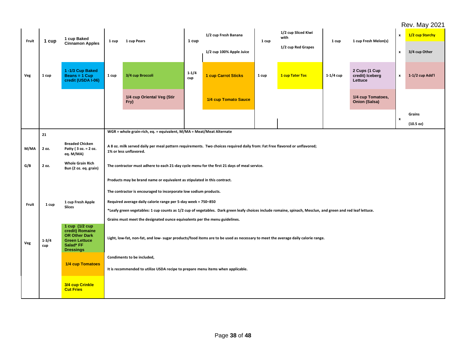# Rev. May 2021

|       |                  |                                                                                                                    |       |                                                                                                                                                             |                  |                          |       |                             |             |                                             |                    | <b>Rev. May 2021</b> |
|-------|------------------|--------------------------------------------------------------------------------------------------------------------|-------|-------------------------------------------------------------------------------------------------------------------------------------------------------------|------------------|--------------------------|-------|-----------------------------|-------------|---------------------------------------------|--------------------|----------------------|
| Fruit | 1 cup            | 1 cup Baked                                                                                                        | 1 cup | 1 cup Pears                                                                                                                                                 | 1 cup            | 1/2 cup Fresh Banana     | 1 cup | 1/2 cup Sliced Kiwi<br>with | 1 cup       | 1 cup Fresh Melon(s)                        | x                  | 1/2 cup Starchy      |
|       |                  | <b>Cinnamon Apples</b>                                                                                             |       |                                                                                                                                                             |                  | 1/2 cup 100% Apple Juice |       | 1/2 cup Red Grapes          |             |                                             |                    | 3/4 cup Other        |
| Veg   | 1 cup            | 1-1/3 Cup Baked<br>Beans = 1 Cup<br>credit (USDA I-06)                                                             | 1 cup | 3/4 cup Broccoli                                                                                                                                            | $1 - 1/4$<br>cup | 1 cup Carrot Sticks      | 1 cup | 1 cup Tater Tos             | $1-1/4$ cup | 2 Cups (1 Cup<br>credit) Iceberg<br>Lettuce | $\pmb{\mathsf{x}}$ | 1-1/2 cup Add'l      |
|       |                  |                                                                                                                    |       | 1/4 cup Oriental Veg (Stir<br>Fry)                                                                                                                          |                  | 1/4 cup Tomato Sauce     |       |                             |             | 1/4 cup Tomatoes,<br><b>Onion (Salsa)</b>   |                    |                      |
|       |                  |                                                                                                                    |       |                                                                                                                                                             |                  |                          |       |                             |             |                                             |                    | Grains               |
|       |                  |                                                                                                                    |       |                                                                                                                                                             |                  |                          |       |                             |             |                                             | $\boldsymbol{x}$   | $(10.5 \text{ oz})$  |
|       | 21               |                                                                                                                    |       | WGR = whole grain-rich, eq. = equivalent, M/MA = Meat/Meat Alternate                                                                                        |                  |                          |       |                             |             |                                             |                    |                      |
| M/MA  | 2 oz.            | <b>Breaded Chicken</b><br>Patty (3 oz. = 2 oz.<br>eq. M/MA)                                                        |       | A 8 oz. milk served daily per meal pattern requirements. Two choices required daily from: Fat Free flavored or unflavored;<br>1% or less unflavored.        |                  |                          |       |                             |             |                                             |                    |                      |
| G/B   | 2 oz.            | <b>Whole Grain Rich</b><br>Bun (2 oz. eq. grain)                                                                   |       | The contractor must adhere to each 21-day cycle menu for the first 21 days of meal service.                                                                 |                  |                          |       |                             |             |                                             |                    |                      |
|       |                  |                                                                                                                    |       | Products may be brand name or equivalent as stipulated in this contract.                                                                                    |                  |                          |       |                             |             |                                             |                    |                      |
|       |                  |                                                                                                                    |       | The contractor is encouraged to incorporate low sodium products.                                                                                            |                  |                          |       |                             |             |                                             |                    |                      |
| Fruit | 1 cup            | 1 cup Fresh Apple                                                                                                  |       | Required average daily calorie range per 5-day week = 750-850                                                                                               |                  |                          |       |                             |             |                                             |                    |                      |
|       |                  | <b>Slices</b>                                                                                                      |       | *Leafy green vegetables: 1 cup counts as 1/2 cup of vegetables. Dark green leafy choices include romaine, spinach, Mesclun, and green and red leaf lettuce. |                  |                          |       |                             |             |                                             |                    |                      |
|       |                  |                                                                                                                    |       | Grains must meet the designated ounce equivalents per the menu guidelines.                                                                                  |                  |                          |       |                             |             |                                             |                    |                      |
| Veg   | $1 - 3/4$<br>cup | 1 cup (1/2 cup<br>credit) Romaine<br><b>OR Other Dark</b><br><b>Green Lettuce</b><br>Salad* FF<br><b>Dressings</b> |       | Light, low-fat, non-fat, and low- sugar products/food items are to be used as necessary to meet the average daily calorie range.                            |                  |                          |       |                             |             |                                             |                    |                      |
|       |                  |                                                                                                                    |       | Condiments to be included,                                                                                                                                  |                  |                          |       |                             |             |                                             |                    |                      |
|       |                  | 1/4 cup Tomatoes                                                                                                   |       | It is recommended to utilize USDA recipe to prepare menu items when applicable.                                                                             |                  |                          |       |                             |             |                                             |                    |                      |
|       |                  | 3/4 cup Crinkle<br><b>Cut Fries</b>                                                                                |       |                                                                                                                                                             |                  |                          |       |                             |             |                                             |                    |                      |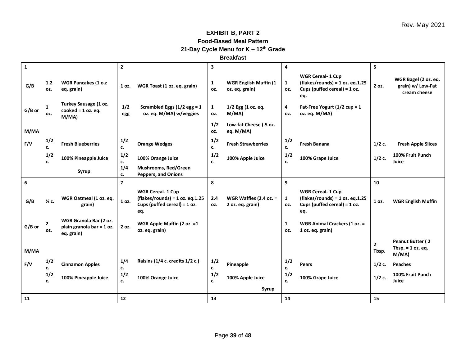# **EXHIBIT B, PART 2 Food-Based Meal Pattern 21-Day Cycle Menu for K – 12th Grade**

**Breakfast**

| $\mathbf{1}$ |                     |                                                                   | $\overline{2}$ |                                                                                                         | 3                   |                                                | 4                   |                                                                                                          | 5                       |                                                           |
|--------------|---------------------|-------------------------------------------------------------------|----------------|---------------------------------------------------------------------------------------------------------|---------------------|------------------------------------------------|---------------------|----------------------------------------------------------------------------------------------------------|-------------------------|-----------------------------------------------------------|
| G/B          | $1.2$<br>OZ.        | <b>WGR Pancakes (1 o.z</b><br>eq. grain)                          | 1 oz.          | WGR Toast (1 oz. eq. grain)                                                                             | $\mathbf{1}$<br>OZ. | <b>WGR English Muffin (1</b><br>oz. eq. grain) | $\mathbf{1}$<br>OZ. | <b>WGR Cereal- 1 Cup</b><br>$(flakes/rounds) = 1 oz. eq. 1.25$<br>Cups (puffed cereal) = $1 oz$ .<br>eq. | 2 oz.                   | WGR Bagel (2 oz. eq.<br>grain) w/ Low-Fat<br>cream cheese |
| G/B or       | $\mathbf{1}$<br>OZ. | Turkey Sausage (1 oz.<br>$codeed = 1 oz. eq.$<br>M/MA)            | 1/2<br>egg     | Scrambled Eggs $(1/2$ egg = 1<br>oz. eq. M/MA) w/veggies                                                | $\mathbf{1}$<br>OZ. | 1/2 Egg (1 oz. eq.<br>M/MA)                    | 4<br>OZ.            | Fat-Free Yogurt (1/2 cup = 1<br>oz. eq. M/MA)                                                            |                         |                                                           |
| M/MA         |                     |                                                                   |                |                                                                                                         | 1/2<br>OZ.          | Low-fat Cheese (.5 oz.<br>eq. M/MA)            |                     |                                                                                                          |                         |                                                           |
| F/V          | 1/2<br>c.           | <b>Fresh Blueberries</b>                                          | 1/2<br>c.      | <b>Orange Wedges</b>                                                                                    | 1/2<br>c.           | <b>Fresh Strawberries</b>                      | 1/2<br>c.           | <b>Fresh Banana</b>                                                                                      | $1/2c$ .                | <b>Fresh Apple Slices</b>                                 |
|              | 1/2<br>c.           | 100% Pineapple Juice                                              | 1/2<br>c.      | 100% Orange Juice                                                                                       | 1/2<br>c.           | 100% Apple Juice                               | 1/2<br>c.           | 100% Grape Juice                                                                                         | $1/2$ c.                | 100% Fruit Punch<br>Juice                                 |
|              |                     | Syrup                                                             | 1/4<br>c.      | <b>Mushrooms, Red/Green</b><br><b>Peppers, and Onions</b>                                               |                     |                                                |                     |                                                                                                          |                         |                                                           |
| 6            |                     |                                                                   | $\overline{7}$ |                                                                                                         | 8                   |                                                | 9                   |                                                                                                          | 10                      |                                                           |
| G/B          | $\frac{1}{2}$ c.    | WGR Oatmeal (1 oz. eq.<br>grain)                                  | 1 oz.          | <b>WGR Cereal- 1 Cup</b><br>$(flakes/rounds) = 1 oz. eq.1.25$<br>Cups (puffed cereal) = $1 oz$ .<br>eq. | 2.4<br>OZ.          | WGR Waffles (2.4 oz. $=$<br>2 oz. eq. grain)   | $\mathbf{1}$<br>OZ. | <b>WGR Cereal- 1 Cup</b><br>$(flakes/rounds) = 1 oz. eq. 1.25$<br>Cups (puffed cereal) = $1 oz$ .<br>eq. | 1 oz.                   | <b>WGR English Muffin</b>                                 |
| G/B or       | $\mathbf{2}$<br>OZ. | WGR Granola Bar (2 oz.<br>plain granola bar = 1 oz.<br>eq. grain) | 2 oz.          | WGR Apple Muffin (2 oz. = 1<br>oz. eq. grain)                                                           |                     |                                                | $\mathbf{1}$<br>OZ. | <b>WGR Animal Crackers (1 oz. =</b><br>1 oz. eq. grain)                                                  |                         |                                                           |
| M/MA         |                     |                                                                   |                |                                                                                                         |                     |                                                |                     |                                                                                                          | $\overline{2}$<br>Tbsp. | Peanut Butter (2<br>Tbsp. $= 1$ oz. eq.<br>M/MA)          |
| F/V          | 1/2<br>c.           | <b>Cinnamon Apples</b>                                            | 1/4<br>c.      | Raisins (1/4 c. credits 1/2 c.)                                                                         | 1/2<br>c.           | Pineapple                                      | 1/2<br>c.           | Pears                                                                                                    | $1/2c$ .                | <b>Peaches</b>                                            |
|              | 1/2<br>c.           | 100% Pineapple Juice                                              | 1/2<br>c.      | 100% Orange Juice                                                                                       | 1/2<br>c.           | 100% Apple Juice                               | 1/2<br>c.           | 100% Grape Juice                                                                                         | $1/2$ c.                | 100% Fruit Punch<br>Juice                                 |
|              |                     |                                                                   |                |                                                                                                         |                     | Syrup                                          |                     |                                                                                                          |                         |                                                           |
| 11           |                     |                                                                   | ${\bf 12}$     |                                                                                                         | 13                  |                                                | 14                  |                                                                                                          | 15                      |                                                           |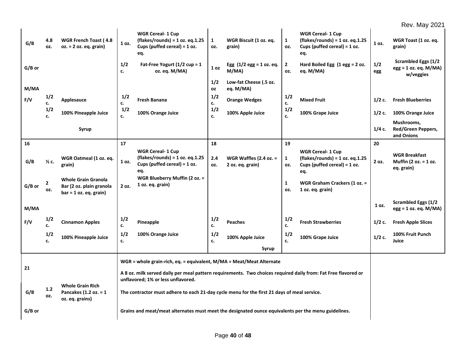|          |                     |                                                                                    |             |                                                                                                                                                      |                     |                                              |                       |                                                                                                          |            | <b>Rev. May 2021</b>                                               |
|----------|---------------------|------------------------------------------------------------------------------------|-------------|------------------------------------------------------------------------------------------------------------------------------------------------------|---------------------|----------------------------------------------|-----------------------|----------------------------------------------------------------------------------------------------------|------------|--------------------------------------------------------------------|
| G/B      | 4.8<br>oz.          | WGR French Toast (4.8<br>$oz. = 2 oz. eq. grain)$                                  | 1 oz.       | <b>WGR Cereal- 1 Cup</b><br>$(flakes/rounds) = 1 oz. eq.1.25$<br>Cups (puffed cereal) = 1 oz.<br>eq.                                                 | $\mathbf{1}$<br>oz. | WGR Biscuit (1 oz. eq.<br>grain)             | $\mathbf{1}$<br>oz.   | <b>WGR Cereal- 1 Cup</b><br>$(flakes/rounds) = 1 oz. eq. 1.25$<br>Cups (puffed cereal) = $1 oz$ .<br>eq. | 1 oz.      | WGR Toast (1 oz. eq.<br>grain)                                     |
| G/B or   |                     |                                                                                    | 1/2<br>c.   | Fat-Free Yogurt (1/2 cup = 1<br>oz. eq. M/MA)                                                                                                        | 1 <sub>oz</sub>     | Egg $(1/2$ egg = 1 oz. eq.<br>M/MA)          | $\overline{2}$<br>OZ. | Hard Boiled Egg $(1 \text{ egg} = 2 \text{ oz.})$<br>eg. M/MA)                                           | 1/2<br>egg | <b>Scrambled Eggs (1/2</b><br>$egg = 1 oz. eq. M/MA)$<br>w/veggies |
| M/MA     |                     |                                                                                    |             |                                                                                                                                                      | 1/2<br><b>OZ</b>    | Low-fat Cheese (.5 oz.<br>eq. M/MA)          |                       |                                                                                                          |            |                                                                    |
| F/V      | 1/2<br>c.           | Applesauce                                                                         | $1/2$<br>c. | <b>Fresh Banana</b>                                                                                                                                  | 1/2<br>c.           | <b>Orange Wedges</b>                         | 1/2<br>c.             | <b>Mixed Fruit</b>                                                                                       | $1/2$ c.   | <b>Fresh Blueberries</b>                                           |
|          | 1/2<br>c.           | 100% Pineapple Juice                                                               | 1/2<br>c.   | 100% Orange Juice                                                                                                                                    | 1/2<br>c.           | 100% Apple Juice                             | 1/2<br>c.             | 100% Grape Juice                                                                                         | $1/2$ c.   | 100% Orange Juice                                                  |
|          |                     | Syrup                                                                              |             |                                                                                                                                                      |                     |                                              |                       |                                                                                                          | $1/4c$ .   | Mushrooms,<br><b>Red/Green Peppers,</b><br>and Onions              |
| 16       |                     |                                                                                    | 17          |                                                                                                                                                      | 18                  |                                              | 19                    |                                                                                                          | 20         |                                                                    |
| G/B      | $\frac{1}{2}$ c.    | WGR Oatmeal (1 oz. eq.<br>grain)                                                   | 1 oz.       | <b>WGR Cereal- 1 Cup</b><br>$(flakes/rounds) = 1 oz. eq.1.25$<br>Cups (puffed cereal) = $1 oz$ .<br>eq.                                              | 2.4<br>OZ.          | WGR Waffles (2.4 oz. $=$<br>2 oz. eq. grain) | $\mathbf{1}$<br>OZ.   | <b>WGR Cereal- 1 Cup</b><br>$(flakes/rounds) = 1 oz. eq. 1.25$<br>Cups (puffed cereal) = $1 oz$ .<br>eq. | 2 oz.      | <b>WGR Breakfast</b><br>Muffin (2 oz. = 1 oz.<br>eq. grain)        |
| G/B or   | $\mathbf{2}$<br>OZ. | <b>Whole Grain Granola</b><br>Bar (2 oz. plain granola<br>$bar = 1 oz. eq. grain)$ | 2 oz.       | WGR Blueberry Muffin (2 oz. =<br>1 oz. eq. grain)                                                                                                    |                     |                                              | $\mathbf{1}$<br>OZ.   | <b>WGR Graham Crackers (1 oz. =</b><br>1 oz. eq. grain)                                                  |            |                                                                    |
| M/MA     |                     |                                                                                    |             |                                                                                                                                                      |                     |                                              |                       |                                                                                                          | 1 oz.      | Scrambled Eggs (1/2<br>$egg = 1 oz. eq. M/MA)$                     |
| F/V      | 1/2<br>c.           | <b>Cinnamon Apples</b>                                                             | 1/2<br>c.   | Pineapple                                                                                                                                            | 1/2<br>c.           | <b>Peaches</b>                               | 1/2<br>c.             | <b>Fresh Strawberries</b>                                                                                | $1/2$ c.   | <b>Fresh Apple Slices</b>                                          |
|          | 1/2<br>c.           | 100% Pineapple Juice                                                               | 1/2<br>c.   | 100% Orange Juice                                                                                                                                    | 1/2<br>c.           | 100% Apple Juice                             | 1/2<br>c.             | 100% Grape Juice                                                                                         | $1/2c$ .   | 100% Fruit Punch<br>Juice                                          |
|          |                     |                                                                                    |             |                                                                                                                                                      |                     | Syrup                                        |                       |                                                                                                          |            |                                                                    |
|          |                     |                                                                                    |             | WGR = whole grain-rich, eq. = equivalent, M/MA = Meat/Meat Alternate                                                                                 |                     |                                              |                       |                                                                                                          |            |                                                                    |
| 21       |                     |                                                                                    |             | A 8 oz. milk served daily per meal pattern requirements. Two choices required daily from: Fat Free flavored or<br>unflavored; 1% or less unflavored. |                     |                                              |                       |                                                                                                          |            |                                                                    |
| G/B      | $1.2$<br>oz.        | <b>Whole Grain Rich</b><br>Pancakes $(1.2 oz. = 1)$<br>oz. eq. grains)             |             | The contractor must adhere to each 21-day cycle menu for the first 21 days of meal service.                                                          |                     |                                              |                       |                                                                                                          |            |                                                                    |
| $G/B$ or |                     |                                                                                    |             | Grains and meat/meat alternates must meet the designated ounce equivalents per the menu guidelines.                                                  |                     |                                              |                       |                                                                                                          |            |                                                                    |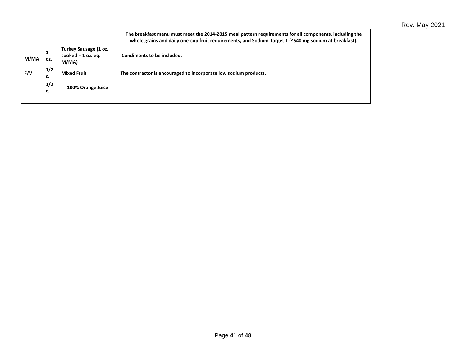|      |           |                                                        | The breakfast menu must meet the 2014-2015 meal pattern requirements for all components, including the<br>whole grains and daily one-cup fruit requirements, and Sodium Target 1 (≤540 mg sodium at breakfast). |
|------|-----------|--------------------------------------------------------|-----------------------------------------------------------------------------------------------------------------------------------------------------------------------------------------------------------------|
| M/MA | OZ.       | Turkey Sausage (1 oz.<br>cooked = $1$ oz. eq.<br>M/MA) | Condiments to be included.                                                                                                                                                                                      |
| F/V  | 1/2<br>c. | <b>Mixed Fruit</b>                                     | The contractor is encouraged to incorporate low sodium products.                                                                                                                                                |
|      | 1/2<br>c. | 100% Orange Juice                                      |                                                                                                                                                                                                                 |
|      |           |                                                        |                                                                                                                                                                                                                 |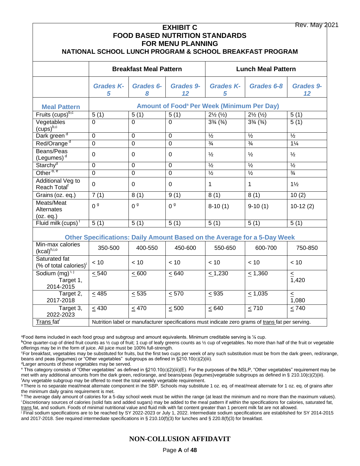|                                                     |                       |                                                            | <b>EXHIBIT C</b><br><b>FOR MENU PLANNING</b> | <b>FOOD BASED NUTRITION STANDARDS</b>                        | NATIONAL SCHOOL LUNCH PROGRAM & SCHOOL BREAKFAST PROGRAM                                          | <b>Rev. May 2021</b>     |  |  |
|-----------------------------------------------------|-----------------------|------------------------------------------------------------|----------------------------------------------|--------------------------------------------------------------|---------------------------------------------------------------------------------------------------|--------------------------|--|--|
|                                                     |                       | <b>Breakfast Meal Pattern</b><br><b>Lunch Meal Pattern</b> |                                              |                                                              |                                                                                                   |                          |  |  |
|                                                     | <b>Grades K-</b><br>5 | <b>Grades 6-</b><br>8                                      | <b>Grades 9-</b><br>12                       | <b>Grades K-</b><br>5                                        | Grades 6-8                                                                                        | <b>Grades 9-</b><br>12   |  |  |
| <b>Meal Pattern</b>                                 |                       |                                                            |                                              | <b>Amount of Food<sup>ª</sup> Per Week (Minimum Per Day)</b> |                                                                                                   |                          |  |  |
| Fruits (cups) <sup>b,c</sup>                        | 5(1)                  | 5(1)                                                       | 5(1)                                         | $2\frac{1}{2}(\frac{1}{2})$                                  | $2\frac{1}{2}(\frac{1}{2})$                                                                       | 5(1)                     |  |  |
| Vegetables<br>$(cups)^{b,c}$                        | 0                     | $\Omega$                                                   | $\Omega$                                     | $3\frac{3}{4}$ ( $\frac{3}{4}$ )                             | $3\frac{3}{4}$ ( $\frac{3}{4}$ )                                                                  | 5(1)                     |  |  |
| Dark green <sup>d</sup>                             | 0                     | 0                                                          | 0                                            | $\overline{\frac{1}{2}}$                                     | $\frac{1}{2}$                                                                                     | $\overline{\frac{1}{2}}$ |  |  |
| Red/Orange <sup>d</sup>                             | 0                     | $\overline{0}$                                             | $\overline{0}$                               | $\frac{3}{4}$                                                | $\frac{3}{4}$                                                                                     | $1\frac{1}{4}$           |  |  |
| Beans/Peas<br>(Legumes) $d$                         | 0                     | $\mathbf 0$                                                | 0                                            | $\frac{1}{2}$                                                | $\frac{1}{2}$                                                                                     | $\frac{1}{2}$            |  |  |
| Starchy <sup>d</sup>                                | $\overline{0}$        | $\overline{0}$                                             | $\overline{0}$                               | $\frac{1}{2}$                                                | $\frac{1}{2}$                                                                                     | $\frac{1}{2}$            |  |  |
| Other <sup>d, e</sup>                               | $\overline{0}$        | $\overline{0}$                                             | $\overline{0}$                               | $\frac{1}{2}$                                                | $\frac{1}{2}$                                                                                     | $\frac{3}{4}$            |  |  |
| Additional Veg to<br>Reach Total <sup>f</sup>       | $\overline{0}$        | $\mathbf 0$                                                | $\mathbf{0}$                                 | $\mathbf{1}$                                                 | $\mathbf{1}$                                                                                      | $1\frac{1}{2}$           |  |  |
| Grains (oz. eq.)                                    | 7(1)                  | 8(1)                                                       | 9(1)                                         | 8(1)                                                         | 8(1)                                                                                              | 10(2)                    |  |  |
| Meats/Meat<br>Alternates<br>(oz. eq.)               | 0 <sup>9</sup>        | 0 <sup>9</sup>                                             | 0 <sup>9</sup>                               | $8-10(1)$                                                    | $9-10(1)$                                                                                         | $10-12(2)$               |  |  |
| Fluid milk (cups) <sup>1</sup>                      | 5(1)                  | 5(1)                                                       | 5(1)                                         | 5(1)                                                         | 5(1)                                                                                              | 5(1)                     |  |  |
|                                                     |                       |                                                            |                                              |                                                              | Other Specifications: Daily Amount Based on the Average for a 5-Day Week                          |                          |  |  |
| Min-max calories<br>$(kcal)^{h,i,o}$                | 350-500               | 400-550                                                    | 450-600                                      | 550-650                                                      | 600-700                                                                                           | 750-850                  |  |  |
| Saturated fat<br>(% of total calories) <sup>i</sup> | < 10                  | < 10                                                       | < 10                                         | < 10                                                         | < 10                                                                                              | < 10                     |  |  |
| Sodium $(mg)^{1,1}$<br>Target 1,<br>2014-2015       | $\leq 540$            | $\leq 600$                                                 | $\leq 640$                                   | $\leq 1,230$                                                 | $\leq 1,360$                                                                                      | $\leq$<br>1,420          |  |  |
| Target 2,<br>2017-2018                              | < 485                 | < 535                                                      | < 570                                        | < 935                                                        | < 1,035                                                                                           | $\leq$<br>1,080          |  |  |
| Target 3,<br>2022-2023                              | $\leq 430$            | $\leq 470$                                                 | $\leq 500$                                   | $\leq 640$                                                   | $\leq 710$                                                                                        | < 740                    |  |  |
| Trans fat <sup>i</sup>                              |                       |                                                            |                                              |                                                              | Nutrition label or manufacturer specifications must indicate zero grams of trans fat per serving. |                          |  |  |

<sup>a</sup>Food items included in each food group and subgroup and amount equivalents. Minimum creditable serving is ⅛ cup.

**<sup>b</sup>**One quarter-cup of dried fruit counts as ½ cup of fruit; 1 cup of leafy greens counts as ½ cup of vegetables. No more than half of the fruit or vegetable offerings may be in the form of juice. All juice must be 100% full-strength.

<sup>c</sup>For breakfast, vegetables may be substituted for fruits, but the first two cups per week of any such substitution must be from the dark green, red/orange, beans and peas (legumes) or "Other vegetables" subgroups as defined in §210.10(c)(2)(iii).

dLarger amounts of these vegetables may be served.

<sup>e</sup> This category consists of "Other vegetables" as defined in §210.10(c)(2)(iii)(E). For the purposes of the NSLP, "Other vegetables" requirement may be met with any additional amounts from the dark green, red/orange, and beans/peas (legumes)vegetable subgroups as defined in § 210.10(c)(2)(iii). <sup>f</sup>Any vegetable subgroup may be offered to meet the total weekly vegetable requirement.

<sup>g</sup>There is no separate meat/meat alternate component in the SBP. Schools may substitute 1 oz. eq. of meat/meat alternate for 1 oz. eq. of grains after the minimum daily grains requirement is met.

h The average daily amount of calories for a 5-day school week must be within the range (at least the minimum and no more than the maximum values). <sup>i</sup>Discretionary sources of calories (solid fats and added sugars) may be added to the meal pattern if within the specifications for calories, saturated fat, trans fat, and sodium. Foods of minimal nutritional value and fluid milk with fat content greater than 1 percent milk fat are not allowed.

<sup>j</sup> Final sodium specifications are to be reached by SY 2022-2023 or July 1, 2022. Intermediate sodium specifications are established for SY 2014-2015 and 2017-2018. See required intermediate specifications in § 210.10(f)(3) for lunches and § 220.8(f)(3) for breakfast.

### **NON-COLLUSION AFFIDAVIT**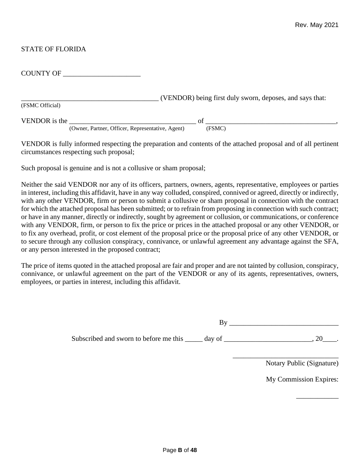### STATE OF FLORIDA

| <b>COUNTY OF</b>                                 |                                                          |
|--------------------------------------------------|----------------------------------------------------------|
|                                                  | (VENDOR) being first duly sworn, deposes, and says that: |
| (FSMC Official)                                  |                                                          |
| VENDOR is the                                    | of                                                       |
| (Owner, Partner, Officer, Representative, Agent) | (FSMC)                                                   |

VENDOR is fully informed respecting the preparation and contents of the attached proposal and of all pertinent circumstances respecting such proposal;

Such proposal is genuine and is not a collusive or sham proposal;

Neither the said VENDOR nor any of its officers, partners, owners, agents, representative, employees or parties in interest, including this affidavit, have in any way colluded, conspired, connived or agreed, directly or indirectly, with any other VENDOR, firm or person to submit a collusive or sham proposal in connection with the contract for which the attached proposal has been submitted; or to refrain from proposing in connection with such contract; or have in any manner, directly or indirectly, sought by agreement or collusion, or communications, or conference with any VENDOR, firm, or person to fix the price or prices in the attached proposal or any other VENDOR, or to fix any overhead, profit, or cost element of the proposal price or the proposal price of any other VENDOR, or to secure through any collusion conspiracy, connivance, or unlawful agreement any advantage against the SFA, or any person interested in the proposed contract;

The price of items quoted in the attached proposal are fair and proper and are not tainted by collusion, conspiracy, connivance, or unlawful agreement on the part of the VENDOR or any of its agents, representatives, owners, employees, or parties in interest, including this affidavit.

 $\mathbf{B} \mathbf{y}$ 

\_\_\_\_\_\_\_\_\_\_\_\_\_\_\_\_\_\_\_\_\_\_\_\_\_\_\_\_\_\_

Subscribed and sworn to before me this  $\_\_\_\_$  day of  $\_\_\_\_\_\_\_$ . 20 $\_\_\_\_\_\_$ .

Notary Public (Signature)

My Commission Expires:

\_\_\_\_\_\_\_\_\_\_\_\_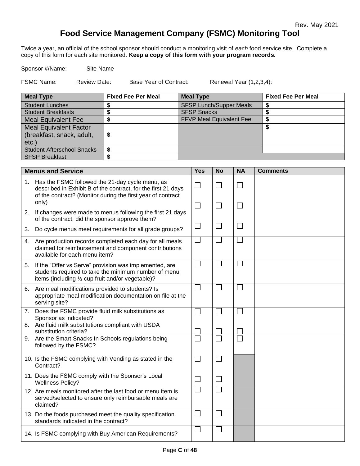# **Food Service Management Company (FSMC) Monitoring Tool**

Twice a year, an official of the school sponsor should conduct a monitoring visit of *each* food service site. Complete a copy of this form for each site monitored. **Keep a copy of this form with your program records.**

Sponsor #/Name: Site Name

FSMC Name: Review Date: Base Year of Contract: Renewal Year (1,2,3,4):

| <b>Meal Type</b>                  | <b>Fixed Fee Per Meal</b> | <b>Meal Type</b>                | <b>Fixed Fee Per Meal</b> |
|-----------------------------------|---------------------------|---------------------------------|---------------------------|
| <b>Student Lunches</b>            |                           | <b>SFSP Lunch/Supper Meals</b>  |                           |
| <b>Student Breakfasts</b>         |                           | <b>SFSP Snacks</b>              |                           |
| <b>Meal Equivalent Fee</b>        |                           | <b>FFVP Meal Equivalent Fee</b> |                           |
| <b>Meal Equivalent Factor</b>     |                           |                                 |                           |
| (breakfast, snack, adult,         |                           |                                 |                           |
| $etc.$ )                          |                           |                                 |                           |
| <b>Student Afterschool Snacks</b> |                           |                                 |                           |
| <b>SFSP Breakfast</b>             |                           |                                 |                           |

|    | <b>Menus and Service</b>                                                                                                                                                                    | <b>Yes</b>                  | <b>No</b>      | <b>NA</b> | <b>Comments</b> |
|----|---------------------------------------------------------------------------------------------------------------------------------------------------------------------------------------------|-----------------------------|----------------|-----------|-----------------|
|    | 1. Has the FSMC followed the 21-day cycle menu, as<br>described in Exhibit B of the contract, for the first 21 days<br>of the contract? (Monitor during the first year of contract<br>only) | $\Box$                      | $\Box$         |           |                 |
| 2. | If changes were made to menus following the first 21 days<br>of the contract, did the sponsor approve them?                                                                                 | $\Box$                      | $\Box$         | $\Box$    |                 |
| 3. | Do cycle menus meet requirements for all grade groups?                                                                                                                                      | $\mathcal{L}_{\mathcal{A}}$ | $\Box$         | $\Box$    |                 |
|    | 4. Are production records completed each day for all meals<br>claimed for reimbursement and component contributions<br>available for each menu item?                                        |                             |                |           |                 |
|    | 5. If the "Offer vs Serve" provision was implemented, are<br>students required to take the minimum number of menu<br>items (including 1/2 cup fruit and/or vegetable)?                      | $\mathbf{L}$                | $\mathbb{R}^n$ |           |                 |
| 6. | Are meal modifications provided to students? Is<br>appropriate meal modification documentation on file at the<br>serving site?                                                              |                             |                |           |                 |
|    | 7. Does the FSMC provide fluid milk substitutions as<br>Sponsor as indicated?<br>8. Are fluid milk substitutions compliant with USDA<br>substitution criteria?                              |                             |                |           |                 |
|    | 9. Are the Smart Snacks In Schools regulations being<br>followed by the FSMC?                                                                                                               |                             |                |           |                 |
|    | 10. Is the FSMC complying with Vending as stated in the<br>Contract?                                                                                                                        | $\mathbf{L}$                | $\Box$         |           |                 |
|    | 11. Does the FSMC comply with the Sponsor's Local<br><b>Wellness Policy?</b>                                                                                                                |                             | $\Box$         |           |                 |
|    | 12. Are meals monitored after the last food or menu item is<br>served/selected to ensure only reimbursable meals are<br>claimed?                                                            |                             |                |           |                 |
|    | 13. Do the foods purchased meet the quality specification<br>standards indicated in the contract?                                                                                           |                             | $\Box$         |           |                 |
|    | 14. Is FSMC complying with Buy American Requirements?                                                                                                                                       |                             |                |           |                 |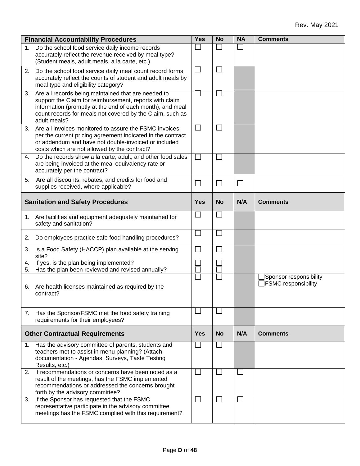|          | <b>Financial Accountability Procedures</b>                                                                                                                                                                                                               | <b>Yes</b>   | <b>No</b> | <b>NA</b> | <b>Comments</b>                                      |
|----------|----------------------------------------------------------------------------------------------------------------------------------------------------------------------------------------------------------------------------------------------------------|--------------|-----------|-----------|------------------------------------------------------|
| 1.       | Do the school food service daily income records<br>accurately reflect the revenue received by meal type?<br>(Student meals, adult meals, a la carte, etc.)                                                                                               |              |           |           |                                                      |
| 2.       | Do the school food service daily meal count record forms<br>accurately reflect the counts of student and adult meals by<br>meal type and eligibility category?                                                                                           |              |           |           |                                                      |
| 3.       | Are all records being maintained that are needed to<br>support the Claim for reimbursement, reports with claim<br>information (promptly at the end of each month), and meal<br>count records for meals not covered by the Claim, such as<br>adult meals? | $\mathbf{L}$ |           |           |                                                      |
|          | 3. Are all invoices monitored to assure the FSMC invoices<br>per the current pricing agreement indicated in the contract<br>or addendum and have not double-invoiced or included<br>costs which are not allowed by the contract?                         |              |           |           |                                                      |
| 4.       | Do the records show a la carte, adult, and other food sales<br>are being invoiced at the meal equivalency rate or<br>accurately per the contract?                                                                                                        |              |           |           |                                                      |
| 5.       | Are all discounts, rebates, and credits for food and<br>supplies received, where applicable?                                                                                                                                                             | $\Box$       | $\Box$    |           |                                                      |
|          | <b>Sanitation and Safety Procedures</b>                                                                                                                                                                                                                  | <b>Yes</b>   | <b>No</b> | N/A       | <b>Comments</b>                                      |
|          | 1. Are facilities and equipment adequately maintained for<br>safety and sanitation?                                                                                                                                                                      |              |           |           |                                                      |
| 2.       | Do employees practice safe food handling procedures?                                                                                                                                                                                                     |              |           |           |                                                      |
| 3.       | Is a Food Safety (HACCP) plan available at the serving<br>site?                                                                                                                                                                                          |              |           |           |                                                      |
| 4.<br>5. | If yes, is the plan being implemented?<br>Has the plan been reviewed and revised annually?                                                                                                                                                               |              |           |           |                                                      |
| 6.       | Are health licenses maintained as required by the<br>contract?                                                                                                                                                                                           |              |           |           | Sponsor responsibility<br>$\Box$ FSMC responsibility |
|          | 7. Has the Sponsor/FSMC met the food safety training<br>requirements for their employees?                                                                                                                                                                |              |           |           |                                                      |
|          | <b>Other Contractual Requirements</b>                                                                                                                                                                                                                    | <b>Yes</b>   | <b>No</b> | N/A       | <b>Comments</b>                                      |
| 1.       | Has the advisory committee of parents, students and<br>teachers met to assist in menu planning? (Attach<br>documentation - Agendas, Surveys, Taste Testing<br>Results, etc.)                                                                             |              |           |           |                                                      |
|          | 2. If recommendations or concerns have been noted as a<br>result of the meetings, has the FSMC implemented<br>recommendations or addressed the concerns brought<br>forth by the advisory committee?                                                      |              |           |           |                                                      |
| 3.       | If the Sponsor has requested that the FSMC<br>representative participate in the advisory committee<br>meetings has the FSMC complied with this requirement?                                                                                              |              |           |           |                                                      |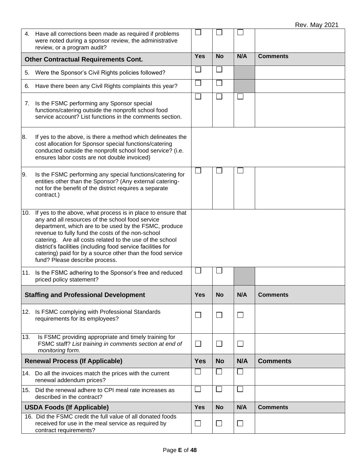|     | 4. Have all corrections been made as required if problems<br>were noted during a sponsor review, the administrative<br>review, or a program audit?                                                                                                                                                                                                                                                                                                         |            |                             |        |                 |
|-----|------------------------------------------------------------------------------------------------------------------------------------------------------------------------------------------------------------------------------------------------------------------------------------------------------------------------------------------------------------------------------------------------------------------------------------------------------------|------------|-----------------------------|--------|-----------------|
|     | <b>Other Contractual Requirements Cont.</b>                                                                                                                                                                                                                                                                                                                                                                                                                | <b>Yes</b> | <b>No</b>                   | N/A    | <b>Comments</b> |
| 5.  | Were the Sponsor's Civil Rights policies followed?                                                                                                                                                                                                                                                                                                                                                                                                         |            |                             |        |                 |
| 6.  | Have there been any Civil Rights complaints this year?                                                                                                                                                                                                                                                                                                                                                                                                     |            |                             |        |                 |
|     | 7. Is the FSMC performing any Sponsor special<br>functions/catering outside the nonprofit school food<br>service account? List functions in the comments section.                                                                                                                                                                                                                                                                                          |            |                             |        |                 |
| 8.  | If yes to the above, is there a method which delineates the<br>cost allocation for Sponsor special functions/catering<br>conducted outside the nonprofit school food service? (i.e.<br>ensures labor costs are not double invoiced)                                                                                                                                                                                                                        |            |                             |        |                 |
| 9.  | Is the FSMC performing any special functions/catering for<br>entities other than the Sponsor? (Any external catering-<br>not for the benefit of the district requires a separate<br>contract.)                                                                                                                                                                                                                                                             |            |                             |        |                 |
| 10. | If yes to the above, what process is in place to ensure that<br>any and all resources of the school food service<br>department, which are to be used by the FSMC, produce<br>revenue to fully fund the costs of the non-school<br>catering. Are all costs related to the use of the school<br>district's facilities (including food service facilities for<br>catering) paid for by a source other than the food service<br>fund? Please describe process. |            |                             |        |                 |
|     | 11. Is the FSMC adhering to the Sponsor's free and reduced<br>priced policy statement?                                                                                                                                                                                                                                                                                                                                                                     |            |                             |        |                 |
|     | <b>Staffing and Professional Development</b>                                                                                                                                                                                                                                                                                                                                                                                                               | <b>Yes</b> | <b>No</b>                   | N/A    | <b>Comments</b> |
|     | 12. Is FSMC complying with Professional Standards<br>requirements for its employees?                                                                                                                                                                                                                                                                                                                                                                       |            | $\Box$                      | $\Box$ |                 |
| 13. | Is FSMC providing appropriate and timely training for<br>FSMC staff? List training in comments section at end of<br>monitoring form.                                                                                                                                                                                                                                                                                                                       | $\Box$     | $\mathcal{L}_{\mathcal{A}}$ | $\Box$ |                 |
|     | <b>Renewal Process (If Applicable)</b>                                                                                                                                                                                                                                                                                                                                                                                                                     | <b>Yes</b> | <b>No</b>                   | N/A    | <b>Comments</b> |
|     | 14. Do all the invoices match the prices with the current<br>renewal addendum prices?                                                                                                                                                                                                                                                                                                                                                                      |            |                             |        |                 |
|     | 15. Did the renewal adhere to CPI meal rate increases as<br>described in the contract?                                                                                                                                                                                                                                                                                                                                                                     |            |                             |        |                 |
|     | <b>USDA Foods (If Applicable)</b>                                                                                                                                                                                                                                                                                                                                                                                                                          | <b>Yes</b> | <b>No</b>                   | N/A    | <b>Comments</b> |
|     | 16. Did the FSMC credit the full value of all donated foods<br>received for use in the meal service as required by<br>contract requirements?                                                                                                                                                                                                                                                                                                               | ⊔          | $\Box$                      | ⊔      |                 |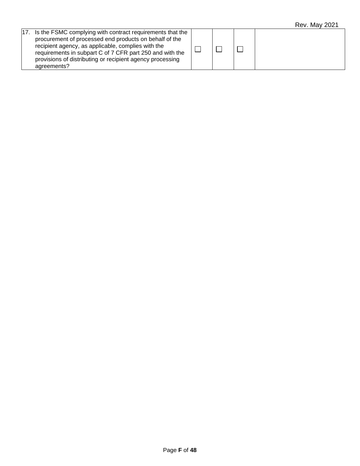| 17. Is the FSMC complying with contract requirements that the<br>procurement of processed end products on behalf of the<br>recipient agency, as applicable, complies with the<br>requirements in subpart C of 7 CFR part 250 and with the<br>provisions of distributing or recipient agency processing<br>agreements? |  |  |  |
|-----------------------------------------------------------------------------------------------------------------------------------------------------------------------------------------------------------------------------------------------------------------------------------------------------------------------|--|--|--|
|                                                                                                                                                                                                                                                                                                                       |  |  |  |